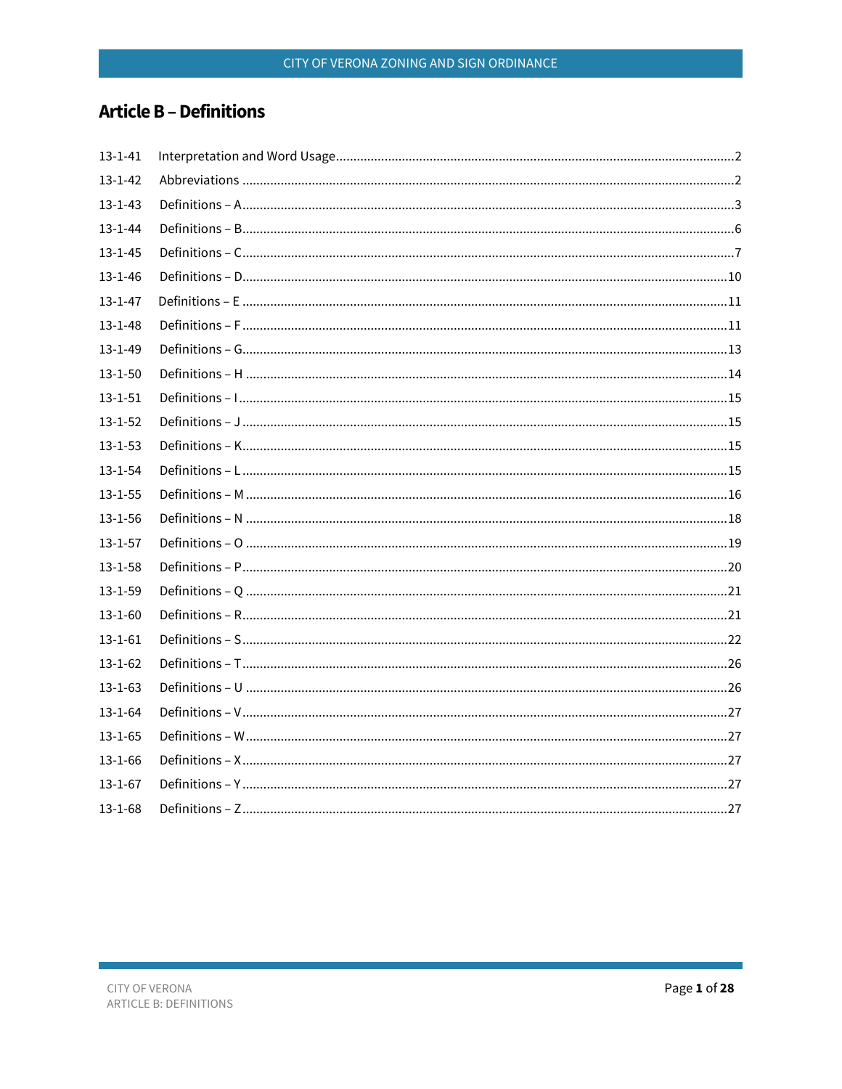# **Article B - Definitions**

| $13 - 1 - 41$ |  |
|---------------|--|
| $13 - 1 - 42$ |  |
| $13 - 1 - 43$ |  |
| $13 - 1 - 44$ |  |
| $13 - 1 - 45$ |  |
| $13 - 1 - 46$ |  |
| $13 - 1 - 47$ |  |
| $13 - 1 - 48$ |  |
| $13 - 1 - 49$ |  |
| $13 - 1 - 50$ |  |
| $13 - 1 - 51$ |  |
| $13 - 1 - 52$ |  |
| $13 - 1 - 53$ |  |
| $13 - 1 - 54$ |  |
| $13 - 1 - 55$ |  |
| $13 - 1 - 56$ |  |
| $13 - 1 - 57$ |  |
| $13 - 1 - 58$ |  |
| $13 - 1 - 59$ |  |
| $13 - 1 - 60$ |  |
| $13 - 1 - 61$ |  |
| $13 - 1 - 62$ |  |
| $13 - 1 - 63$ |  |
| $13 - 1 - 64$ |  |
| $13 - 1 - 65$ |  |
| $13 - 1 - 66$ |  |
| $13 - 1 - 67$ |  |
| $13 - 1 - 68$ |  |

i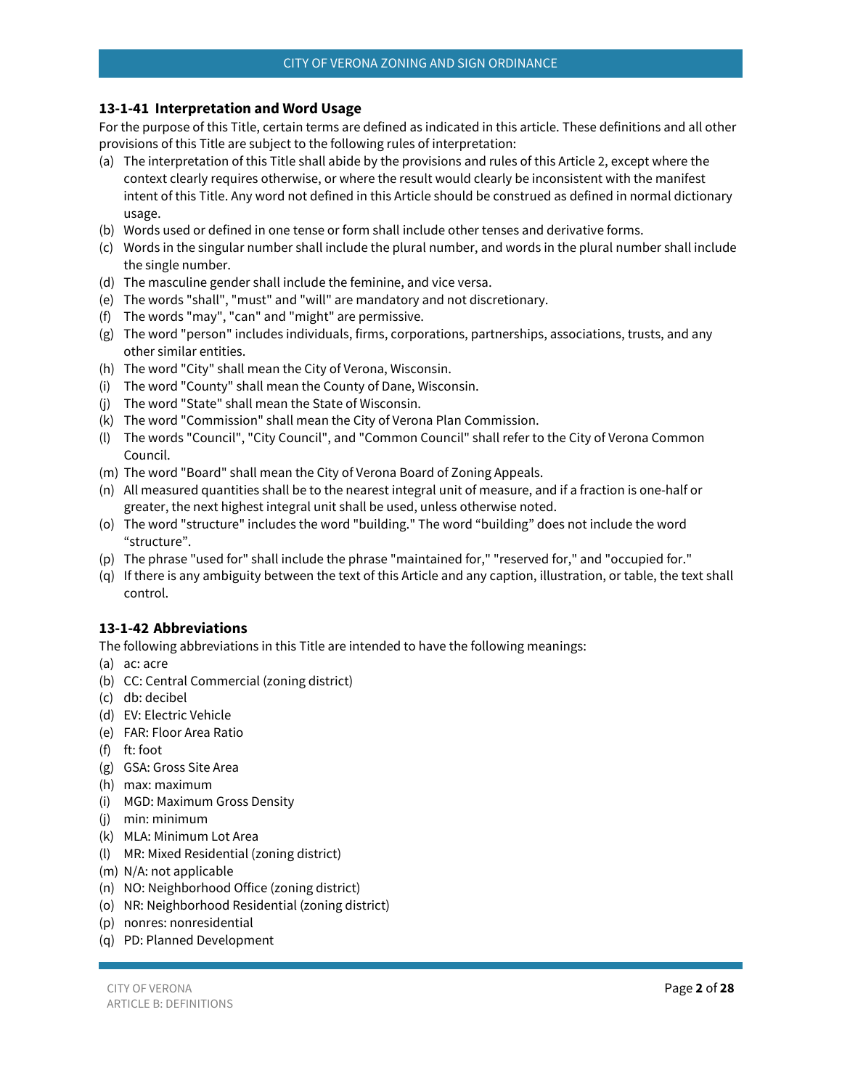### <span id="page-1-0"></span>**13-1-41 Interpretation and Word Usage**

For the purpose of this Title, certain terms are defined as indicated in this article. These definitions and all other provisions of this Title are subject to the following rules of interpretation:

- (a) The interpretation of this Title shall abide by the provisions and rules of this Article 2, except where the context clearly requires otherwise, or where the result would clearly be inconsistent with the manifest intent of this Title. Any word not defined in this Article should be construed as defined in normal dictionary usage.
- (b) Words used or defined in one tense or form shall include other tenses and derivative forms.
- (c) Words in the singular number shall include the plural number, and words in the plural number shall include the single number.
- (d) The masculine gender shall include the feminine, and vice versa.
- (e) The words "shall", "must" and "will" are mandatory and not discretionary.
- (f) The words "may", "can" and "might" are permissive.
- (g) The word "person" includes individuals, firms, corporations, partnerships, associations, trusts, and any other similar entities.
- (h) The word "City" shall mean the City of Verona, Wisconsin.
- (i) The word "County" shall mean the County of Dane, Wisconsin.
- (j) The word "State" shall mean the State of Wisconsin.
- (k) The word "Commission" shall mean the City of Verona Plan Commission.
- (l) The words "Council", "City Council", and "Common Council" shall refer to the City of Verona Common Council.
- (m) The word "Board" shall mean the City of Verona Board of Zoning Appeals.
- (n) All measured quantities shall be to the nearest integral unit of measure, and if a fraction is one-half or greater, the next highest integral unit shall be used, unless otherwise noted.
- (o) The word "structure" includes the word "building." The word "building" does not include the word "structure".
- (p) The phrase "used for" shall include the phrase "maintained for," "reserved for," and "occupied for."
- (q) If there is any ambiguity between the text of this Article and any caption, illustration, or table, the text shall control.

# <span id="page-1-1"></span>**13-1-42 Abbreviations**

The following abbreviations in this Title are intended to have the following meanings:

- (a) ac: acre
- (b) CC: Central Commercial (zoning district)
- (c) db: decibel
- (d) EV: Electric Vehicle
- (e) FAR: Floor Area Ratio
- (f) ft: foot
- (g) GSA: Gross Site Area
- (h) max: maximum
- (i) MGD: Maximum Gross Density
- (j) min: minimum
- (k) MLA: Minimum Lot Area
- (l) MR: Mixed Residential (zoning district)
- (m) N/A: not applicable
- (n) NO: Neighborhood Office (zoning district)
- (o) NR: Neighborhood Residential (zoning district)
- (p) nonres: nonresidential
- (q) PD: Planned Development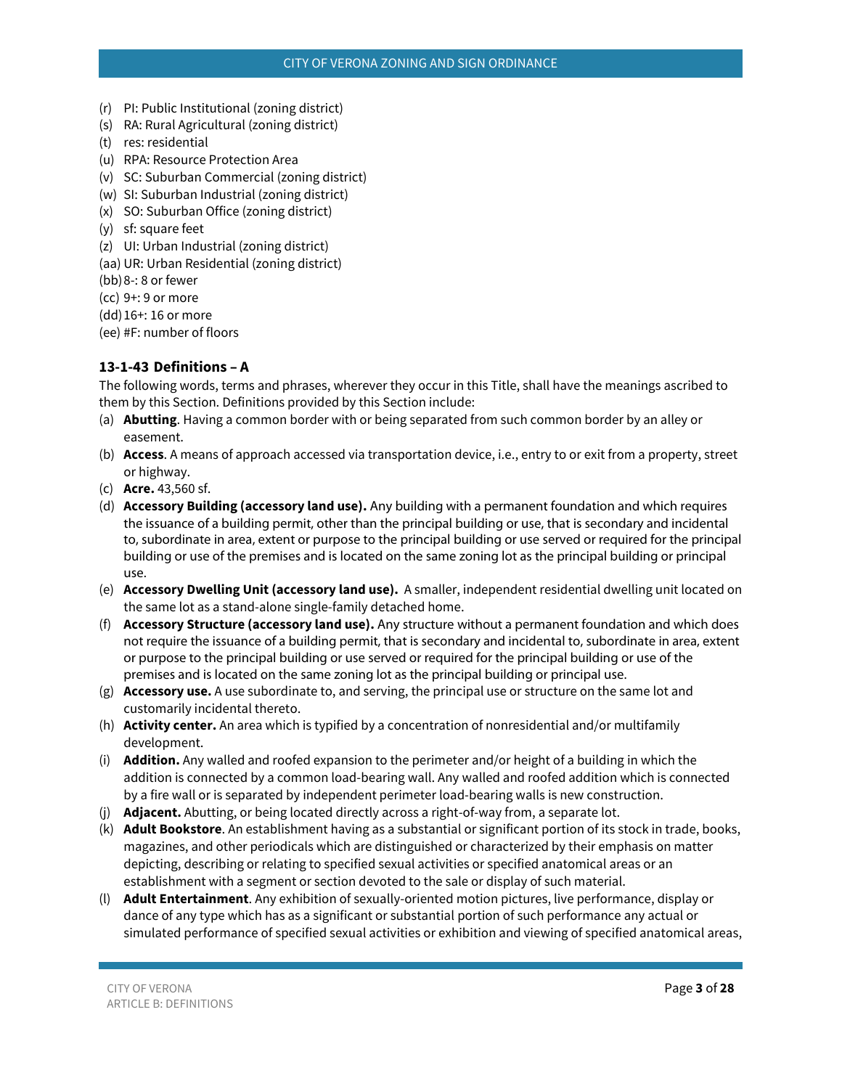- (r) PI: Public Institutional (zoning district)
- (s) RA: Rural Agricultural (zoning district)
- (t) res: residential
- (u) RPA: Resource Protection Area
- (v) SC: Suburban Commercial (zoning district)
- (w) SI: Suburban Industrial (zoning district)
- (x) SO: Suburban Office (zoning district)
- (y) sf: square feet
- (z) UI: Urban Industrial (zoning district)
- (aa) UR: Urban Residential (zoning district)
- (bb)8-: 8 or fewer
- (cc) 9+: 9 or more
- (dd)16+: 16 or more
- <span id="page-2-0"></span>(ee) #F: number of floors

# **13-1-43 Definitions – A**

- (a) **Abutting**. Having a common border with or being separated from such common border by an alley or easement.
- (b) **Access**. A means of approach accessed via transportation device, i.e., entry to or exit from a property, street or highway.
- (c) **Acre.** 43,560 sf.
- (d) **Accessory Building (accessory land use).** Any building with a permanent foundation and which requires the issuance of a building permit, other than the principal building or use, that is secondary and incidental to, subordinate in area, extent or purpose to the principal building or use served or required for the principal building or use of the premises and is located on the same zoning lot as the principal building or principal use.
- (e) **Accessory Dwelling Unit (accessory land use).** A smaller, independent residential dwelling unit located on the same lot as a stand-alone single-family detached home.
- (f) **Accessory Structure (accessory land use).** Any structure without a permanent foundation and which does not require the issuance of a building permit, that is secondary and incidental to, subordinate in area, extent or purpose to the principal building or use served or required for the principal building or use of the premises and is located on the same zoning lot as the principal building or principal use.
- (g) **Accessory use.** A use subordinate to, and serving, the principal use or structure on the same lot and customarily incidental thereto.
- (h) **Activity center.** An area which is typified by a concentration of nonresidential and/or multifamily development.
- (i) **Addition.** Any walled and roofed expansion to the perimeter and/or height of a building in which the addition is connected by a common load-bearing wall. Any walled and roofed addition which is connected by a fire wall or is separated by independent perimeter load-bearing walls is new construction.
- (j) **Adjacent.** Abutting, or being located directly across a right-of-way from, a separate lot.
- (k) **Adult Bookstore**. An establishment having as a substantial or significant portion of its stock in trade, books, magazines, and other periodicals which are distinguished or characterized by their emphasis on matter depicting, describing or relating to specified sexual activities or specified anatomical areas or an establishment with a segment or section devoted to the sale or display of such material.
- (l) **Adult Entertainment**. Any exhibition of sexually-oriented motion pictures, live performance, display or dance of any type which has as a significant or substantial portion of such performance any actual or simulated performance of specified sexual activities or exhibition and viewing of specified anatomical areas,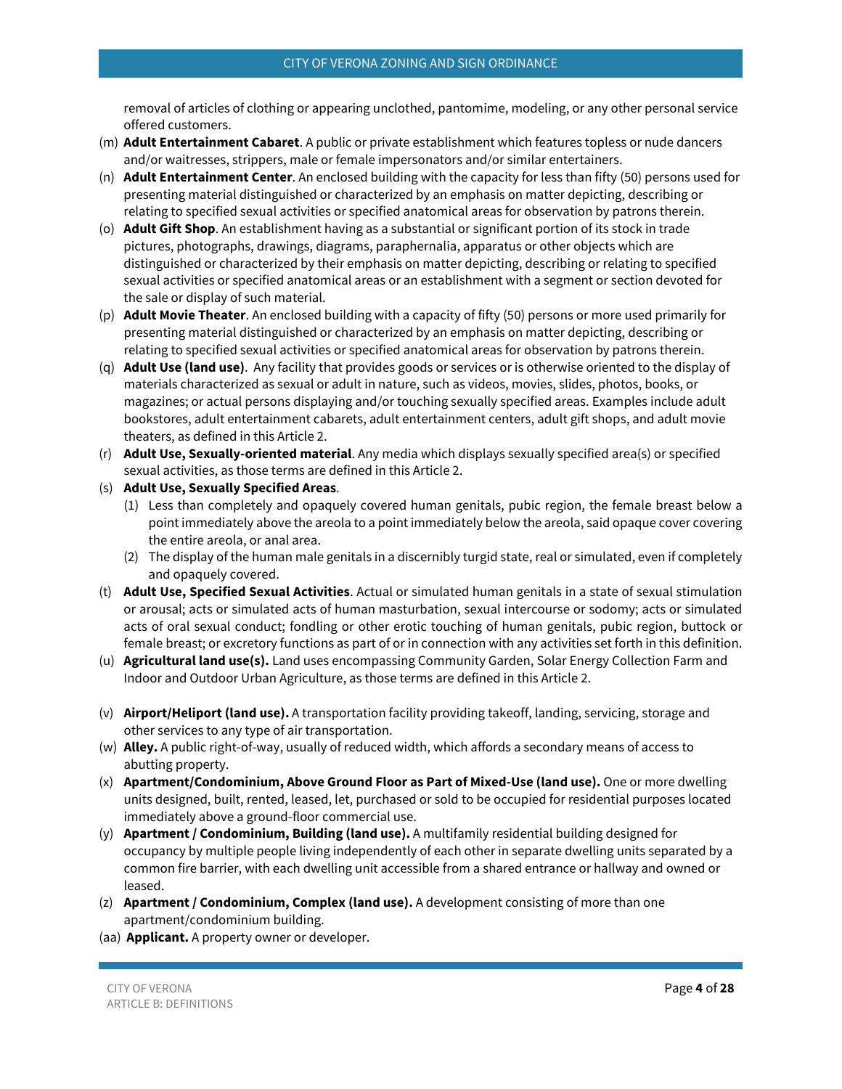removal of articles of clothing or appearing unclothed, pantomime, modeling, or any other personal service offered customers.

- (m) **Adult Entertainment Cabaret**. A public or private establishment which features topless or nude dancers and/or waitresses, strippers, male or female impersonators and/or similar entertainers.
- (n) **Adult Entertainment Center**. An enclosed building with the capacity for less than fifty (50) persons used for presenting material distinguished or characterized by an emphasis on matter depicting, describing or relating to specified sexual activities or specified anatomical areas for observation by patrons therein.
- (o) **Adult Gift Shop**. An establishment having as a substantial or significant portion of its stock in trade pictures, photographs, drawings, diagrams, paraphernalia, apparatus or other objects which are distinguished or characterized by their emphasis on matter depicting, describing or relating to specified sexual activities or specified anatomical areas or an establishment with a segment or section devoted for the sale or display of such material.
- (p) **Adult Movie Theater**. An enclosed building with a capacity of fifty (50) persons or more used primarily for presenting material distinguished or characterized by an emphasis on matter depicting, describing or relating to specified sexual activities or specified anatomical areas for observation by patrons therein.
- (q) **Adult Use (land use)**. Any facility that provides goods or services or is otherwise oriented to the display of materials characterized as sexual or adult in nature, such as videos, movies, slides, photos, books, or magazines; or actual persons displaying and/or touching sexually specified areas. Examples include adult bookstores, adult entertainment cabarets, adult entertainment centers, adult gift shops, and adult movie theaters, as defined in this Article 2.
- (r) **Adult Use, Sexually-oriented material**. Any media which displays sexually specified area(s) or specified sexual activities, as those terms are defined in this Article 2.
- (s) **Adult Use, Sexually Specified Areas**.
	- (1) Less than completely and opaquely covered human genitals, pubic region, the female breast below a point immediately above the areola to a point immediately below the areola, said opaque cover covering the entire areola, or anal area.
	- (2) The display of the human male genitals in a discernibly turgid state, real or simulated, even if completely and opaquely covered.
- (t) **Adult Use, Specified Sexual Activities**. Actual or simulated human genitals in a state of sexual stimulation or arousal; acts or simulated acts of human masturbation, sexual intercourse or sodomy; acts or simulated acts of oral sexual conduct; fondling or other erotic touching of human genitals, pubic region, buttock or female breast; or excretory functions as part of or in connection with any activities set forth in this definition.
- (u) **Agricultural land use(s).** Land uses encompassing Community Garden, Solar Energy Collection Farm and Indoor and Outdoor Urban Agriculture, as those terms are defined in this Article 2.
- (v) **Airport/Heliport (land use).** A transportation facility providing takeoff, landing, servicing, storage and other services to any type of air transportation.
- (w) **Alley.** A public right-of-way, usually of reduced width, which affords a secondary means of access to abutting property.
- (x) **Apartment/Condominium, Above Ground Floor as Part of Mixed-Use (land use).** One or more dwelling units designed, built, rented, leased, let, purchased or sold to be occupied for residential purposes located immediately above a ground-floor commercial use.
- (y) **Apartment / Condominium, Building (land use).** A multifamily residential building designed for occupancy by multiple people living independently of each other in separate dwelling units separated by a common fire barrier, with each dwelling unit accessible from a shared entrance or hallway and owned or leased.
- (z) **Apartment / Condominium, Complex (land use).** A development consisting of more than one apartment/condominium building.
- (aa) **Applicant.** A property owner or developer.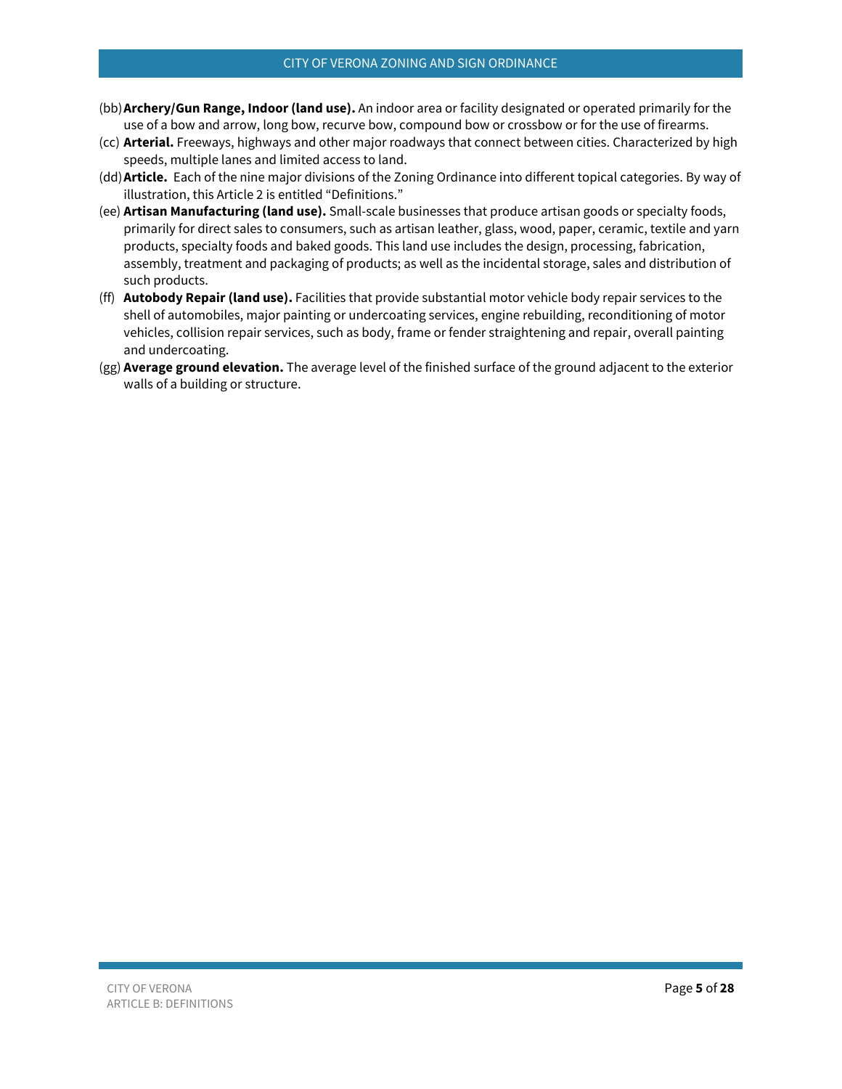- (bb)**Archery/Gun Range, Indoor (land use).** An indoor area or facility designated or operated primarily for the use of a bow and arrow, long bow, recurve bow, compound bow or crossbow or for the use of firearms.
- (cc) **Arterial.** Freeways, highways and other major roadways that connect between cities. Characterized by high speeds, multiple lanes and limited access to land.
- (dd)**Article.** Each of the nine major divisions of the Zoning Ordinance into different topical categories. By way of illustration, this Article 2 is entitled "Definitions."
- (ee) **Artisan Manufacturing (land use).** Small-scale businesses that produce artisan goods or specialty foods, primarily for direct sales to consumers, such as artisan leather, glass, wood, paper, ceramic, textile and yarn products, specialty foods and baked goods. This land use includes the design, processing, fabrication, assembly, treatment and packaging of products; as well as the incidental storage, sales and distribution of such products.
- (ff) **Autobody Repair (land use).** Facilities that provide substantial motor vehicle body repair services to the shell of automobiles, major painting or undercoating services, engine rebuilding, reconditioning of motor vehicles, collision repair services, such as body, frame or fender straightening and repair, overall painting and undercoating.
- (gg) **Average ground elevation.** The average level of the finished surface of the ground adjacent to the exterior walls of a building or structure.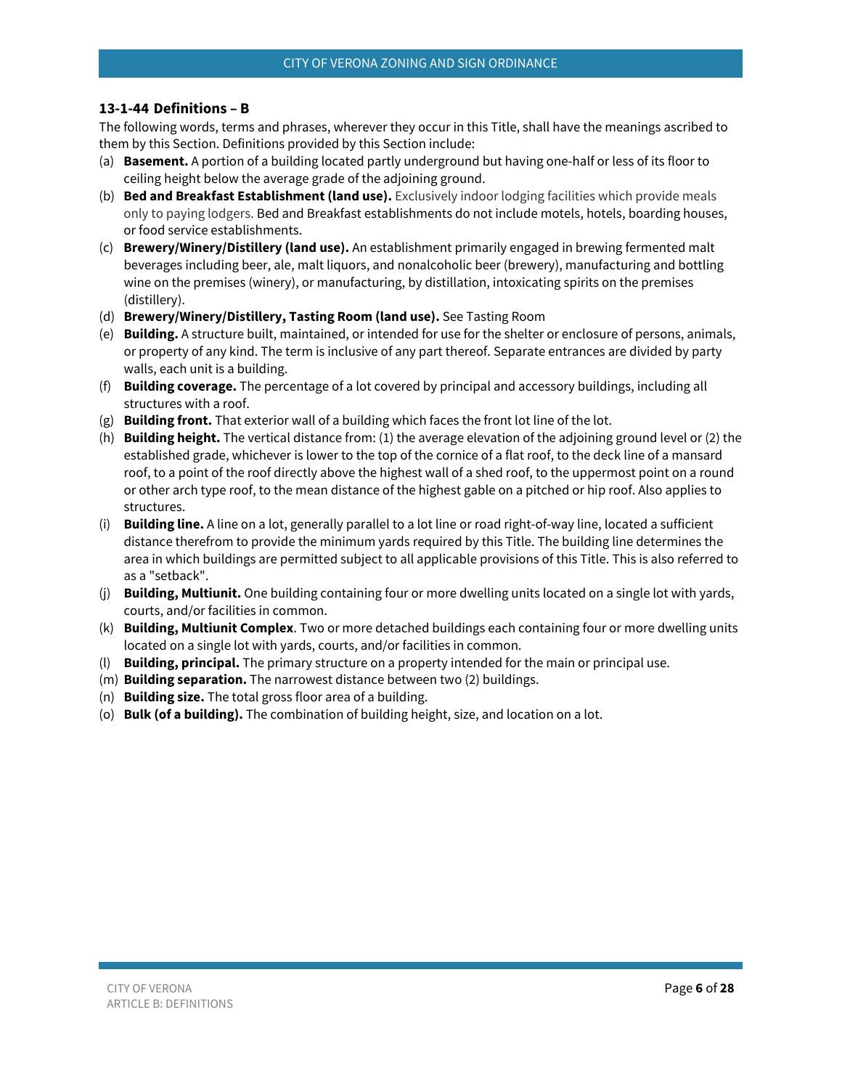### <span id="page-5-0"></span>**13-1-44 Definitions – B**

- (a) **Basement.** A portion of a building located partly underground but having one-half or less of its floor to ceiling height below the average grade of the adjoining ground.
- (b) **Bed and Breakfast Establishment (land use).** Exclusively indoor lodging facilities which provide meals only to paying lodgers. Bed and Breakfast establishments do not include motels, hotels, boarding houses, or food service establishments.
- (c) **Brewery/Winery/Distillery (land use).** An establishment primarily engaged in brewing fermented malt beverages including beer, ale, malt liquors, and nonalcoholic beer (brewery), manufacturing and bottling wine on the premises (winery), or manufacturing, by distillation, intoxicating spirits on the premises (distillery).
- (d) **Brewery/Winery/Distillery, Tasting Room (land use).** See Tasting Room
- (e) **Building.** A structure built, maintained, or intended for use for the shelter or enclosure of persons, animals, or property of any kind. The term is inclusive of any part thereof. Separate entrances are divided by party walls, each unit is a building.
- (f) **Building coverage.** The percentage of a lot covered by principal and accessory buildings, including all structures with a roof.
- (g) **Building front.** That exterior wall of a building which faces the front lot line of the lot.
- (h) **Building height.** The vertical distance from: (1) the average elevation of the adjoining ground level or (2) the established grade, whichever is lower to the top of the cornice of a flat roof, to the deck line of a mansard roof, to a point of the roof directly above the highest wall of a shed roof, to the uppermost point on a round or other arch type roof, to the mean distance of the highest gable on a pitched or hip roof. Also applies to structures.
- (i) **Building line.** A line on a lot, generally parallel to a lot line or road right-of-way line, located a sufficient distance therefrom to provide the minimum yards required by this Title. The building line determines the area in which buildings are permitted subject to all applicable provisions of this Title. This is also referred to as a "setback".
- (j) **Building, Multiunit.** One building containing four or more dwelling units located on a single lot with yards, courts, and/or facilities in common.
- (k) **Building, Multiunit Complex**. Two or more detached buildings each containing four or more dwelling units located on a single lot with yards, courts, and/or facilities in common.
- (l) **Building, principal.** The primary structure on a property intended for the main or principal use.
- (m) **Building separation.** The narrowest distance between two (2) buildings.
- (n) **Building size.** The total gross floor area of a building.
- (o) **Bulk (of a building).** The combination of building height, size, and location on a lot.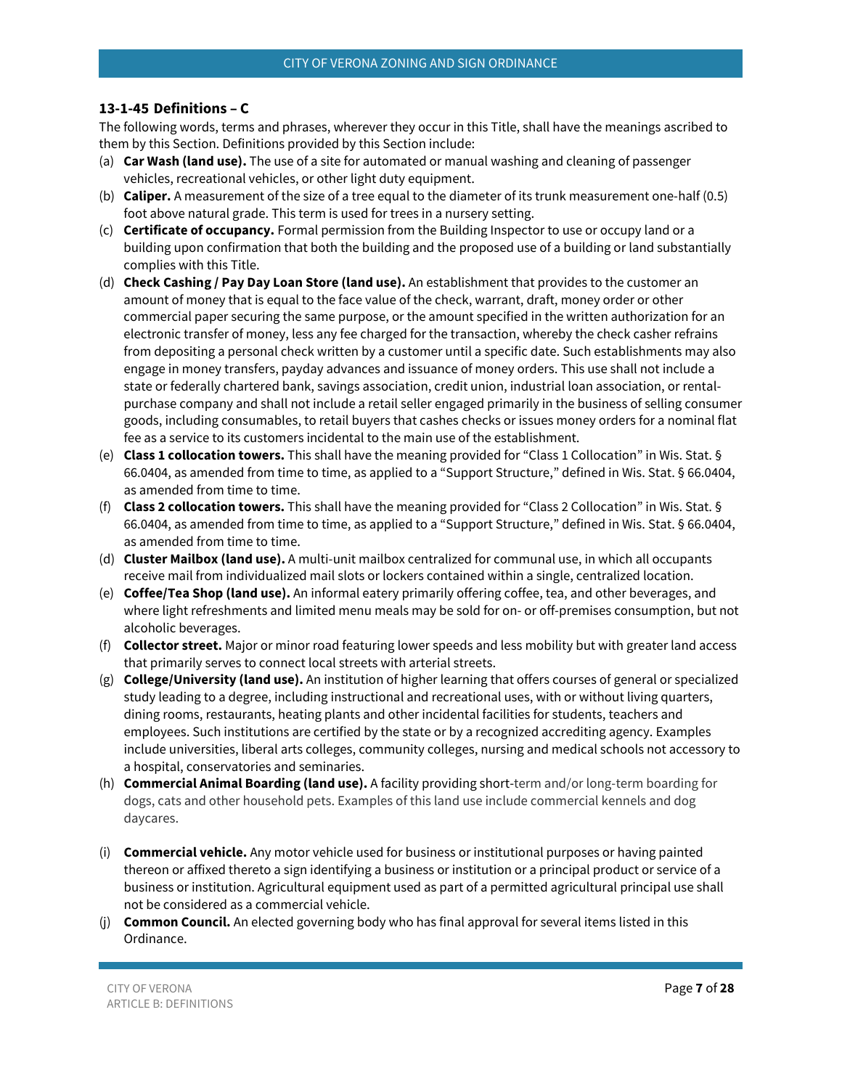### <span id="page-6-0"></span>**13-1-45 Definitions – C**

- (a) **Car Wash (land use).** The use of a site for automated or manual washing and cleaning of passenger vehicles, recreational vehicles, or other light duty equipment.
- (b) **Caliper.** A measurement of the size of a tree equal to the diameter of its trunk measurement one-half (0.5) foot above natural grade. This term is used for trees in a nursery setting.
- (c) **Certificate of occupancy.** Formal permission from the Building Inspector to use or occupy land or a building upon confirmation that both the building and the proposed use of a building or land substantially complies with this Title.
- (d) **Check Cashing / Pay Day Loan Store (land use).** An establishment that provides to the customer an amount of money that is equal to the face value of the check, warrant, draft, money order or other commercial paper securing the same purpose, or the amount specified in the written authorization for an electronic transfer of money, less any fee charged for the transaction, whereby the check casher refrains from depositing a personal check written by a customer until a specific date. Such establishments may also engage in money transfers, payday advances and issuance of money orders. This use shall not include a state or federally chartered bank, savings association, credit union, industrial loan association, or rentalpurchase company and shall not include a retail seller engaged primarily in the business of selling consumer goods, including consumables, to retail buyers that cashes checks or issues money orders for a nominal flat fee as a service to its customers incidental to the main use of the establishment.
- (e) **Class 1 collocation towers.** This shall have the meaning provided for "Class 1 Collocation" in Wis. Stat. § 66.0404, as amended from time to time, as applied to a "Support Structure," defined in Wis. Stat. § 66.0404, as amended from time to time.
- (f) **Class 2 collocation towers.** This shall have the meaning provided for "Class 2 Collocation" in Wis. Stat. § 66.0404, as amended from time to time, as applied to a "Support Structure," defined in Wis. Stat. § 66.0404, as amended from time to time.
- (d) **Cluster Mailbox (land use).** A multi-unit mailbox centralized for communal use, in which all occupants receive mail from individualized mail slots or lockers contained within a single, centralized location.
- (e) **Coffee/Tea Shop (land use).** An informal eatery primarily offering coffee, tea, and other beverages, and where light refreshments and limited menu meals may be sold for on- or off-premises consumption, but not alcoholic beverages.
- (f) **Collector street.** Major or minor road featuring lower speeds and less mobility but with greater land access that primarily serves to connect local streets with arterial streets.
- (g) **College/University (land use).** An institution of higher learning that offers courses of general or specialized study leading to a degree, including instructional and recreational uses, with or without living quarters, dining rooms, restaurants, heating plants and other incidental facilities for students, teachers and employees. Such institutions are certified by the state or by a recognized accrediting agency. Examples include universities, liberal arts colleges, community colleges, nursing and medical schools not accessory to a hospital, conservatories and seminaries.
- (h) **Commercial Animal Boarding (land use).** A facility providing short-term and/or long-term boarding for dogs, cats and other household pets. Examples of this land use include commercial kennels and dog daycares.
- (i) **Commercial vehicle.** Any motor vehicle used for business or institutional purposes or having painted thereon or affixed thereto a sign identifying a business or institution or a principal product or service of a business or institution. Agricultural equipment used as part of a permitted agricultural principal use shall not be considered as a commercial vehicle.
- (j) **Common Council.** An elected governing body who has final approval for several items listed in this Ordinance.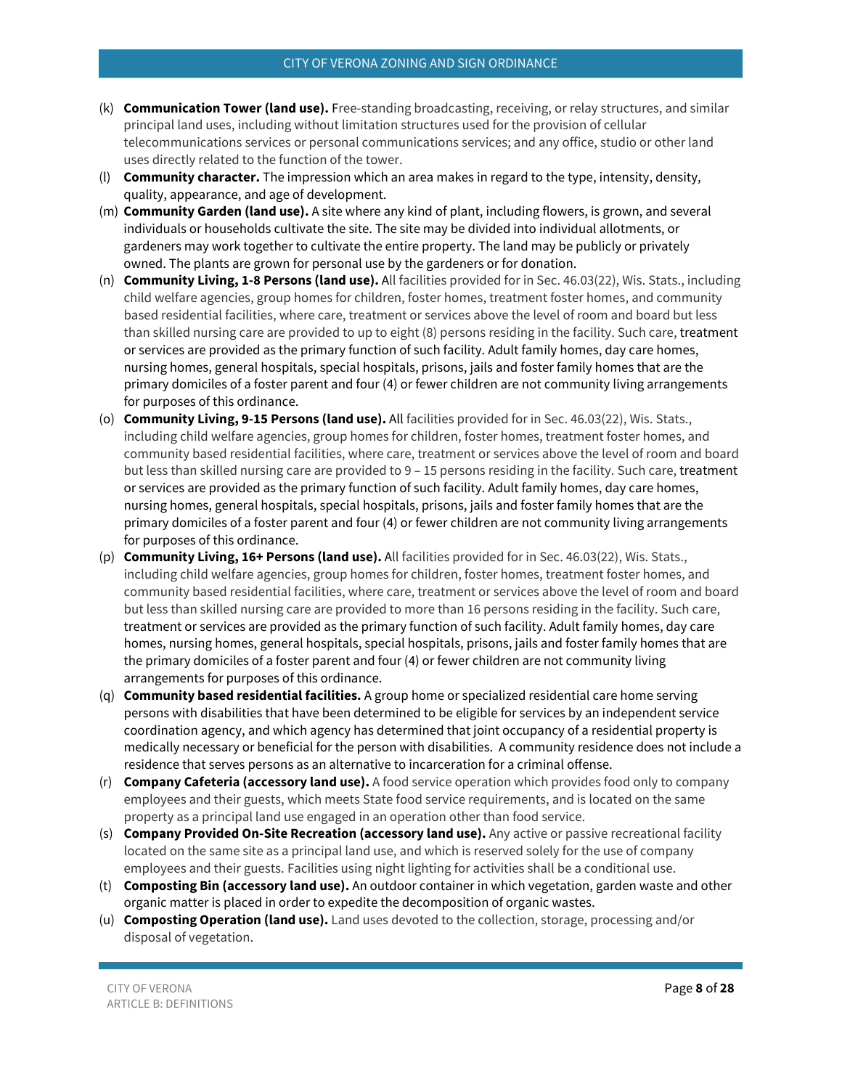- (k) **Communication Tower (land use).** Free-standing broadcasting, receiving, or relay structures, and similar principal land uses, including without limitation structures used for the provision of cellular telecommunications services or personal communications services; and any office, studio or other land uses directly related to the function of the tower.
- (l) **Community character.** The impression which an area makes in regard to the type, intensity, density, quality, appearance, and age of development.
- (m) **Community Garden (land use).** A site where any kind of plant, including flowers, is grown, and several individuals or households cultivate the site. The site may be divided into individual allotments, or gardeners may work together to cultivate the entire property. The land may be publicly or privately owned. The plants are grown for personal use by the gardeners or for donation.
- (n) **Community Living, 1-8 Persons (land use).** All facilities provided for in Sec. 46.03(22), Wis. Stats., including child welfare agencies, group homes for children, foster homes, treatment foster homes, and community based residential facilities, where care, treatment or services above the level of room and board but less than skilled nursing care are provided to up to eight (8) persons residing in the facility. Such care, treatment or services are provided as the primary function of such facility. Adult family homes, day care homes, nursing homes, general hospitals, special hospitals, prisons, jails and foster family homes that are the primary domiciles of a foster parent and four (4) or fewer children are not community living arrangements for purposes of this ordinance.
- (o) **Community Living, 9-15 Persons (land use).** All facilities provided for in Sec. 46.03(22), Wis. Stats., including child welfare agencies, group homes for children, foster homes, treatment foster homes, and community based residential facilities, where care, treatment or services above the level of room and board but less than skilled nursing care are provided to 9 – 15 persons residing in the facility. Such care, treatment or services are provided as the primary function of such facility. Adult family homes, day care homes, nursing homes, general hospitals, special hospitals, prisons, jails and foster family homes that are the primary domiciles of a foster parent and four (4) or fewer children are not community living arrangements for purposes of this ordinance.
- (p) **Community Living, 16+ Persons (land use).** All facilities provided for in Sec. 46.03(22), Wis. Stats., including child welfare agencies, group homes for children, foster homes, treatment foster homes, and community based residential facilities, where care, treatment or services above the level of room and board but less than skilled nursing care are provided to more than 16 persons residing in the facility. Such care, treatment or services are provided as the primary function of such facility. Adult family homes, day care homes, nursing homes, general hospitals, special hospitals, prisons, jails and foster family homes that are the primary domiciles of a foster parent and four (4) or fewer children are not community living arrangements for purposes of this ordinance.
- (q) **Community based residential facilities.** A group home or specialized residential care home serving persons with disabilities that have been determined to be eligible for services by an independent service coordination agency, and which agency has determined that joint occupancy of a residential property is medically necessary or beneficial for the person with disabilities. A community residence does not include a residence that serves persons as an alternative to incarceration for a criminal offense.
- (r) **Company Cafeteria (accessory land use).** A food service operation which provides food only to company employees and their guests, which meets State food service requirements, and is located on the same property as a principal land use engaged in an operation other than food service.
- (s) **Company Provided On-Site Recreation (accessory land use).** Any active or passive recreational facility located on the same site as a principal land use, and which is reserved solely for the use of company employees and their guests. Facilities using night lighting for activities shall be a conditional use.
- (t) **Composting Bin (accessory land use).** An outdoor container in which vegetation, garden waste and other organic matter is placed in order to expedite the decomposition of organic wastes.
- (u) **Composting Operation (land use).** Land uses devoted to the collection, storage, processing and/or disposal of vegetation.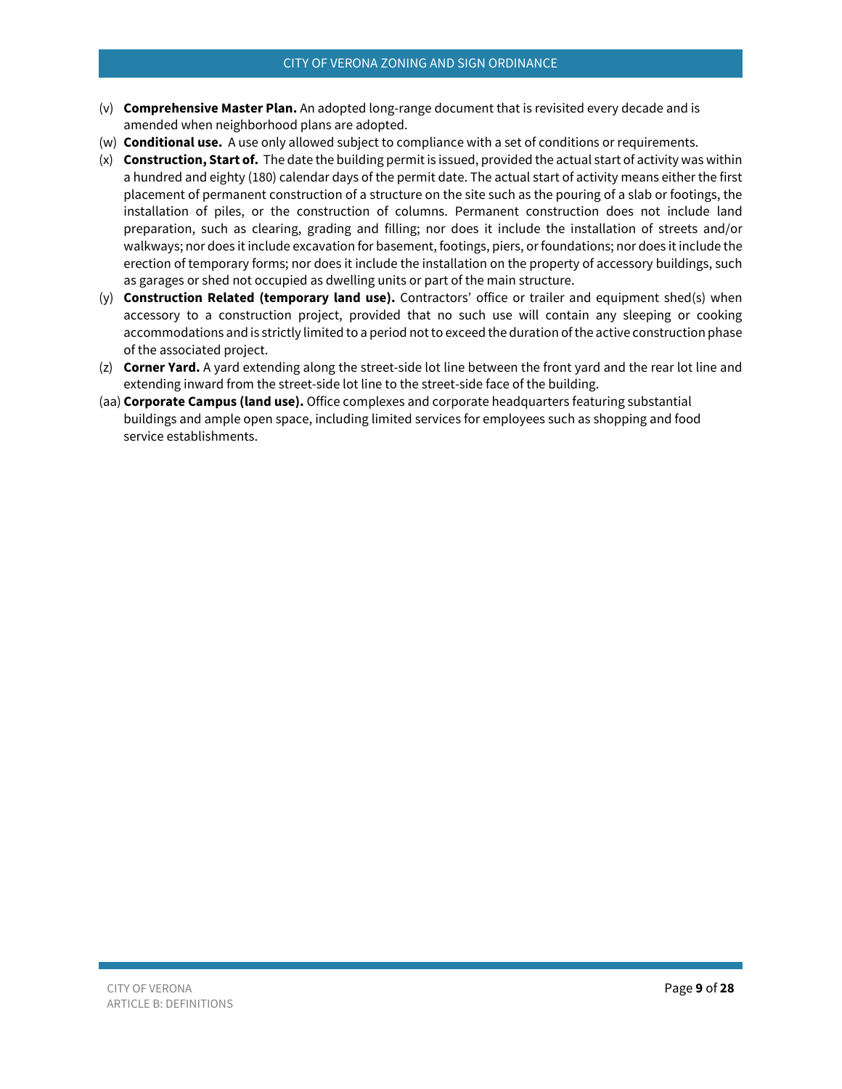- (v) **Comprehensive Master Plan.** An adopted long-range document that is revisited every decade and is amended when neighborhood plans are adopted.
- (w) **Conditional use.** A use only allowed subject to compliance with a set of conditions or requirements.
- (x) **Construction, Start of.** The date the building permit is issued, provided the actual start of activity was within a hundred and eighty (180) calendar days of the permit date. The actual start of activity means either the first placement of permanent construction of a structure on the site such as the pouring of a slab or footings, the installation of piles, or the construction of columns. Permanent construction does not include land preparation, such as clearing, grading and filling; nor does it include the installation of streets and/or walkways; nor does it include excavation for basement, footings, piers, or foundations; nor does it include the erection of temporary forms; nor does it include the installation on the property of accessory buildings, such as garages or shed not occupied as dwelling units or part of the main structure.
- (y) **Construction Related (temporary land use).** Contractors' office or trailer and equipment shed(s) when accessory to a construction project, provided that no such use will contain any sleeping or cooking accommodations and is strictly limited to a period not to exceed the duration of the active construction phase of the associated project.
- (z) **Corner Yard.** A yard extending along the street-side lot line between the front yard and the rear lot line and extending inward from the street-side lot line to the street-side face of the building.
- (aa) **Corporate Campus (land use).** Office complexes and corporate headquarters featuring substantial buildings and ample open space, including limited services for employees such as shopping and food service establishments.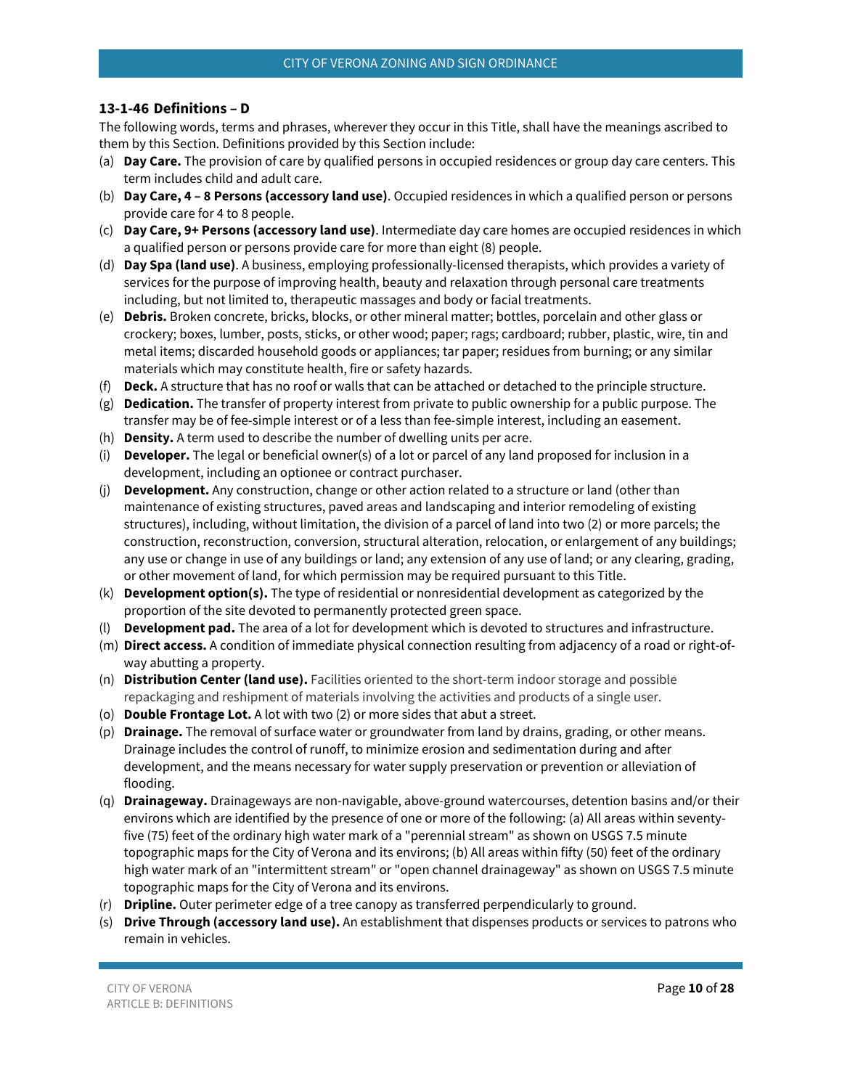### <span id="page-9-0"></span>**13-1-46 Definitions – D**

- (a) **Day Care.** The provision of care by qualified persons in occupied residences or group day care centers. This term includes child and adult care.
- (b) **Day Care, 4 – 8 Persons (accessory land use)**. Occupied residences in which a qualified person or persons provide care for 4 to 8 people.
- (c) **Day Care, 9+ Persons (accessory land use)**. Intermediate day care homes are occupied residences in which a qualified person or persons provide care for more than eight (8) people.
- (d) **Day Spa (land use)**. A business, employing professionally-licensed therapists, which provides a variety of services for the purpose of improving health, beauty and relaxation through personal care treatments including, but not limited to, therapeutic massages and body or facial treatments.
- (e) **Debris.** Broken concrete, bricks, blocks, or other mineral matter; bottles, porcelain and other glass or crockery; boxes, lumber, posts, sticks, or other wood; paper; rags; cardboard; rubber, plastic, wire, tin and metal items; discarded household goods or appliances; tar paper; residues from burning; or any similar materials which may constitute health, fire or safety hazards.
- (f) **Deck.** A structure that has no roof or walls that can be attached or detached to the principle structure.
- (g) **Dedication.** The transfer of property interest from private to public ownership for a public purpose. The transfer may be of fee-simple interest or of a less than fee-simple interest, including an easement.
- (h) **Density.** A term used to describe the number of dwelling units per acre.
- (i) **Developer.** The legal or beneficial owner(s) of a lot or parcel of any land proposed for inclusion in a development, including an optionee or contract purchaser.
- (j) **Development.** Any construction, change or other action related to a structure or land (other than maintenance of existing structures, paved areas and landscaping and interior remodeling of existing structures), including, without limitation, the division of a parcel of land into two (2) or more parcels; the construction, reconstruction, conversion, structural alteration, relocation, or enlargement of any buildings; any use or change in use of any buildings or land; any extension of any use of land; or any clearing, grading, or other movement of land, for which permission may be required pursuant to this Title.
- (k) **Development option(s).** The type of residential or nonresidential development as categorized by the proportion of the site devoted to permanently protected green space.
- (l) **Development pad.** The area of a lot for development which is devoted to structures and infrastructure.
- (m) **Direct access.** A condition of immediate physical connection resulting from adjacency of a road or right-ofway abutting a property.
- (n) **Distribution Center (land use).** Facilities oriented to the short-term indoor storage and possible repackaging and reshipment of materials involving the activities and products of a single user.
- (o) **Double Frontage Lot.** A lot with two (2) or more sides that abut a street.
- (p) **Drainage.** The removal of surface water or groundwater from land by drains, grading, or other means. Drainage includes the control of runoff, to minimize erosion and sedimentation during and after development, and the means necessary for water supply preservation or prevention or alleviation of flooding.
- (q) **Drainageway.** Drainageways are non-navigable, above-ground watercourses, detention basins and/or their environs which are identified by the presence of one or more of the following: (a) All areas within seventyfive (75) feet of the ordinary high water mark of a "perennial stream" as shown on USGS 7.5 minute topographic maps for the City of Verona and its environs; (b) All areas within fifty (50) feet of the ordinary high water mark of an "intermittent stream" or "open channel drainageway" as shown on USGS 7.5 minute topographic maps for the City of Verona and its environs.
- (r) **Dripline.** Outer perimeter edge of a tree canopy as transferred perpendicularly to ground.
- (s) **Drive Through (accessory land use).** An establishment that dispenses products or services to patrons who remain in vehicles.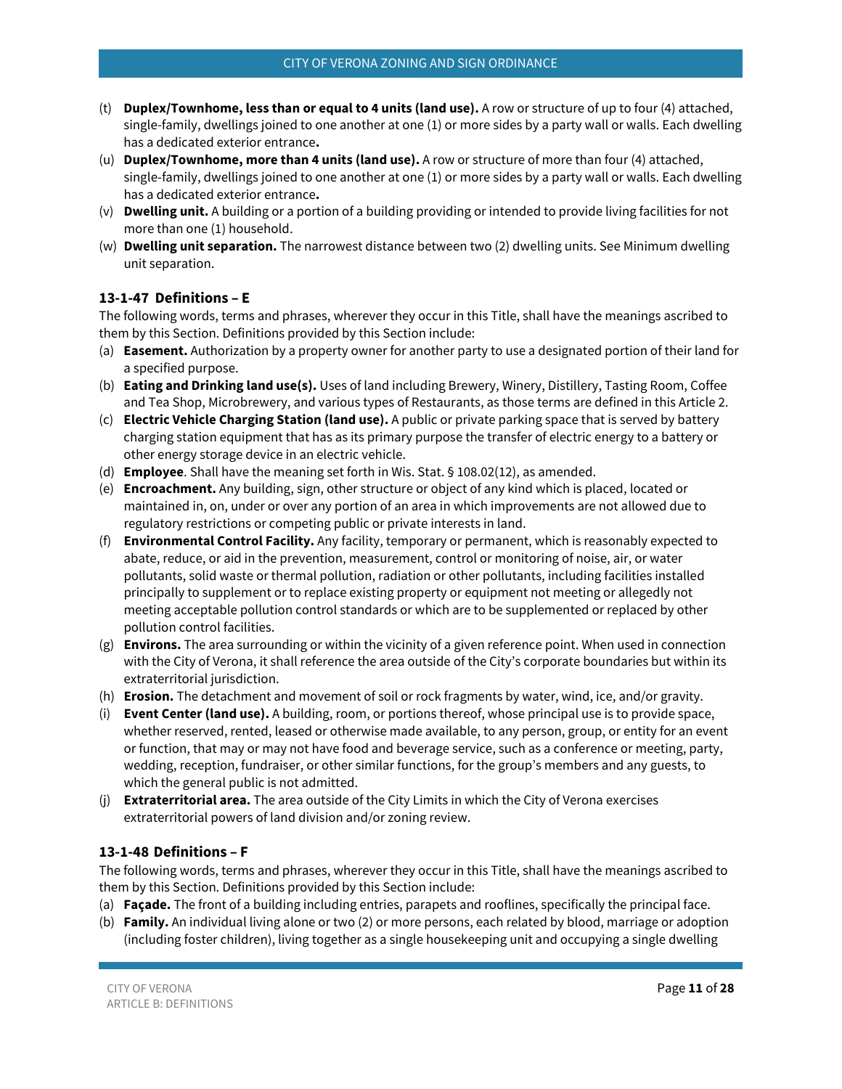- (t) **Duplex/Townhome, less than or equal to 4 units (land use).** A row or structure of up to four (4) attached, single-family, dwellings joined to one another at one (1) or more sides by a party wall or walls. Each dwelling has a dedicated exterior entrance**.**
- (u) **Duplex/Townhome, more than 4 units (land use).** A row or structure of more than four (4) attached, single-family, dwellings joined to one another at one (1) or more sides by a party wall or walls. Each dwelling has a dedicated exterior entrance**.**
- (v) **Dwelling unit.** A building or a portion of a building providing or intended to provide living facilities for not more than one (1) household.
- (w) **Dwelling unit separation.** The narrowest distance between two (2) dwelling units. See Minimum dwelling unit separation.

# <span id="page-10-0"></span>**13-1-47 Definitions – E**

The following words, terms and phrases, wherever they occur in this Title, shall have the meanings ascribed to them by this Section. Definitions provided by this Section include:

- (a) **Easement.** Authorization by a property owner for another party to use a designated portion of their land for a specified purpose.
- (b) **Eating and Drinking land use(s).** Uses of land including Brewery, Winery, Distillery, Tasting Room, Coffee and Tea Shop, Microbrewery, and various types of Restaurants, as those terms are defined in this Article 2.
- (c) **Electric Vehicle Charging Station (land use).** A public or private parking space that is served by battery charging station equipment that has as its primary purpose the transfer of electric energy to a battery or other energy storage device in an electric vehicle.
- (d) **Employee**. Shall have the meaning set forth in Wis. Stat. [§ 108.02\(12\),](http://docs.legis.wi.gov/statutes/statutes/108/02/12) as amended.
- (e) **Encroachment.** Any building, sign, other structure or object of any kind which is placed, located or maintained in, on, under or over any portion of an area in which improvements are not allowed due to regulatory restrictions or competing public or private interests in land.
- (f) **Environmental Control Facility.** Any facility, temporary or permanent, which is reasonably expected to abate, reduce, or aid in the prevention, measurement, control or monitoring of noise, air, or water pollutants, solid waste or thermal pollution, radiation or other pollutants, including facilities installed principally to supplement or to replace existing property or equipment not meeting or allegedly not meeting acceptable pollution control standards or which are to be supplemented or replaced by other pollution control facilities.
- (g) **Environs.** The area surrounding or within the vicinity of a given reference point. When used in connection with the City of Verona, it shall reference the area outside of the City's corporate boundaries but within its extraterritorial jurisdiction.
- (h) **Erosion.** The detachment and movement of soil or rock fragments by water, wind, ice, and/or gravity.
- (i) **Event Center (land use).** A building, room, or portions thereof, whose principal use is to provide space, whether reserved, rented, leased or otherwise made available, to any person, group, or entity for an event or function, that may or may not have food and beverage service, such as a conference or meeting, party, wedding, reception, fundraiser, or other similar functions, for the group's members and any guests, to which the general public is not admitted.
- (j) **Extraterritorial area.** The area outside of the City Limits in which the City of Verona exercises extraterritorial powers of land division and/or zoning review.

# <span id="page-10-1"></span>**13-1-48 Definitions – F**

- (a) **Façade.** The front of a building including entries, parapets and rooflines, specifically the principal face.
- (b) **Family.** An individual living alone or two (2) or more persons, each related by blood, marriage or adoption (including foster children), living together as a single housekeeping unit and occupying a single dwelling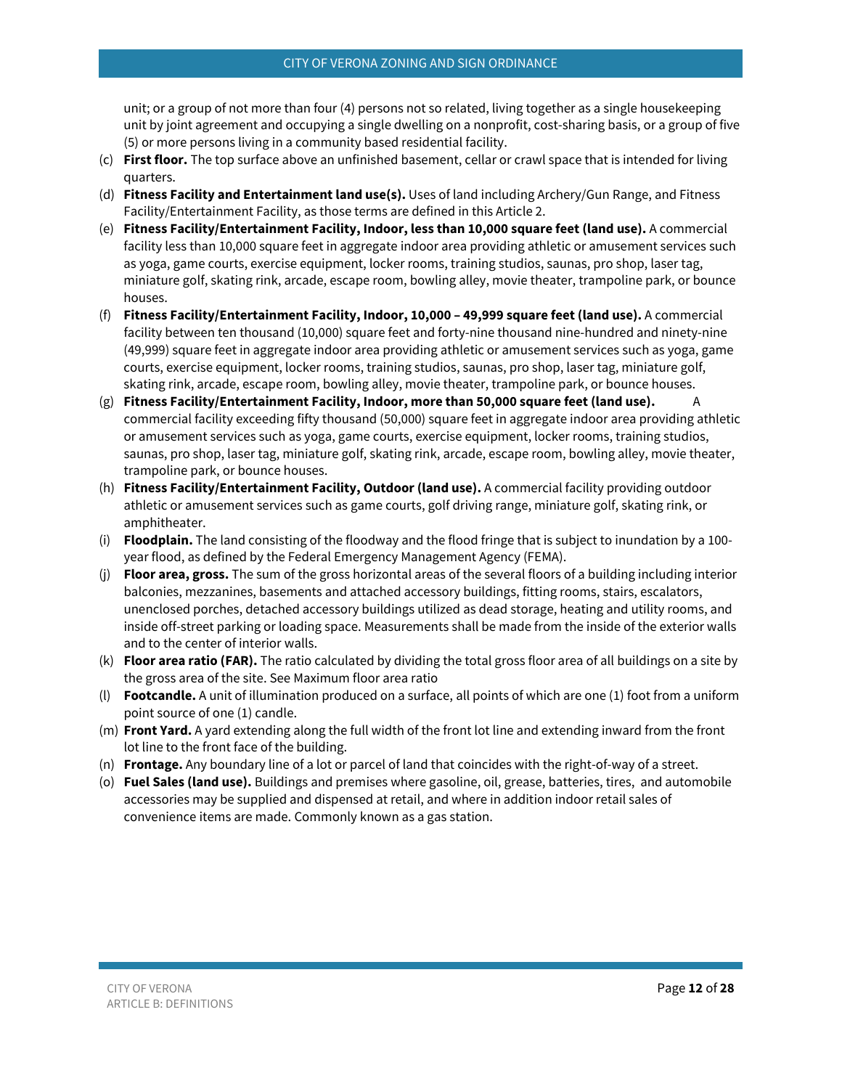unit; or a group of not more than four (4) persons not so related, living together as a single housekeeping unit by joint agreement and occupying a single dwelling on a nonprofit, cost-sharing basis, or a group of five (5) or more persons living in a community based residential facility.

- (c) **First floor.** The top surface above an unfinished basement, cellar or crawl space that is intended for living quarters.
- (d) **Fitness Facility and Entertainment land use(s).** Uses of land including Archery/Gun Range, and Fitness Facility/Entertainment Facility, as those terms are defined in this Article 2.
- (e) **Fitness Facility/Entertainment Facility, Indoor, less than 10,000 square feet (land use).** A commercial facility less than 10,000 square feet in aggregate indoor area providing athletic or amusement services such as yoga, game courts, exercise equipment, locker rooms, training studios, saunas, pro shop, laser tag, miniature golf, skating rink, arcade, escape room, bowling alley, movie theater, trampoline park, or bounce houses.
- (f) **Fitness Facility/Entertainment Facility, Indoor, 10,000 – 49,999 square feet (land use).** A commercial facility between ten thousand (10,000) square feet and forty-nine thousand nine-hundred and ninety-nine (49,999) square feet in aggregate indoor area providing athletic or amusement services such as yoga, game courts, exercise equipment, locker rooms, training studios, saunas, pro shop, laser tag, miniature golf, skating rink, arcade, escape room, bowling alley, movie theater, trampoline park, or bounce houses.
- (g) **Fitness Facility/Entertainment Facility, Indoor, more than 50,000 square feet (land use).** A commercial facility exceeding fifty thousand (50,000) square feet in aggregate indoor area providing athletic or amusement services such as yoga, game courts, exercise equipment, locker rooms, training studios, saunas, pro shop, laser tag, miniature golf, skating rink, arcade, escape room, bowling alley, movie theater, trampoline park, or bounce houses.
- (h) **Fitness Facility/Entertainment Facility, Outdoor (land use).** A commercial facility providing outdoor athletic or amusement services such as game courts, golf driving range, miniature golf, skating rink, or amphitheater.
- (i) **Floodplain.** The land consisting of the floodway and the flood fringe that is subject to inundation by a 100 year flood, as defined by the Federal Emergency Management Agency (FEMA).
- (j) **Floor area, gross.** The sum of the gross horizontal areas of the several floors of a building including interior balconies, mezzanines, basements and attached accessory buildings, fitting rooms, stairs, escalators, unenclosed porches, detached accessory buildings utilized as dead storage, heating and utility rooms, and inside off-street parking or loading space. Measurements shall be made from the inside of the exterior walls and to the center of interior walls.
- (k) **Floor area ratio (FAR).** The ratio calculated by dividing the total gross floor area of all buildings on a site by the gross area of the site. See Maximum floor area ratio
- (l) **Footcandle.** A unit of illumination produced on a surface, all points of which are one (1) foot from a uniform point source of one (1) candle.
- (m) **Front Yard.** A yard extending along the full width of the front lot line and extending inward from the front lot line to the front face of the building.
- (n) **Frontage.** Any boundary line of a lot or parcel of land that coincides with the right-of-way of a street.
- (o) **Fuel Sales (land use).** Buildings and premises where gasoline, oil, grease, batteries, tires, and automobile accessories may be supplied and dispensed at retail, and where in addition indoor retail sales of convenience items are made. Commonly known as a gas station.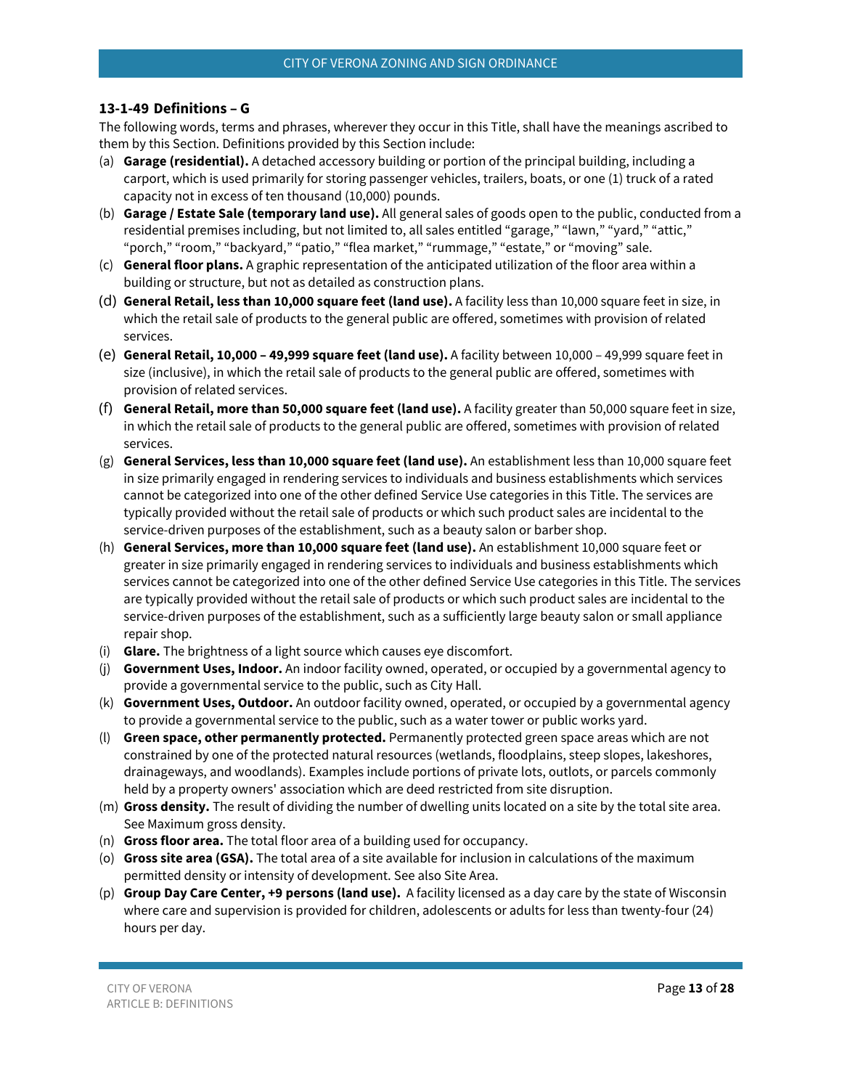### <span id="page-12-0"></span>**13-1-49 Definitions – G**

- (a) **Garage (residential).** A detached accessory building or portion of the principal building, including a carport, which is used primarily for storing passenger vehicles, trailers, boats, or one (1) truck of a rated capacity not in excess of ten thousand (10,000) pounds.
- (b) **Garage / Estate Sale (temporary land use).** All general sales of goods open to the public, conducted from a residential premises including, but not limited to, all sales entitled "garage," "lawn," "yard," "attic," "porch," "room," "backyard," "patio," "flea market," "rummage," "estate," or "moving" sale.
- (c) **General floor plans.** A graphic representation of the anticipated utilization of the floor area within a building or structure, but not as detailed as construction plans.
- (d) **General Retail, less than 10,000 square feet (land use).** A facility less than 10,000 square feet in size, in which the retail sale of products to the general public are offered, sometimes with provision of related services.
- (e) **General Retail, 10,000 – 49,999 square feet (land use).** A facility between 10,000 49,999 square feet in size (inclusive), in which the retail sale of products to the general public are offered, sometimes with provision of related services.
- (f) **General Retail, more than 50,000 square feet (land use).** A facility greater than 50,000 square feet in size, in which the retail sale of products to the general public are offered, sometimes with provision of related services.
- (g) **General Services, less than 10,000 square feet (land use).** An establishment less than 10,000 square feet in size primarily engaged in rendering services to individuals and business establishments which services cannot be categorized into one of the other defined Service Use categories in this Title. The services are typically provided without the retail sale of products or which such product sales are incidental to the service-driven purposes of the establishment, such as a beauty salon or barber shop.
- (h) **General Services, more than 10,000 square feet (land use).** An establishment 10,000 square feet or greater in size primarily engaged in rendering services to individuals and business establishments which services cannot be categorized into one of the other defined Service Use categories in this Title. The services are typically provided without the retail sale of products or which such product sales are incidental to the service-driven purposes of the establishment, such as a sufficiently large beauty salon or small appliance repair shop.
- (i) **Glare.** The brightness of a light source which causes eye discomfort.
- (j) **Government Uses, Indoor.** An indoor facility owned, operated, or occupied by a governmental agency to provide a governmental service to the public, such as City Hall.
- (k) **Government Uses, Outdoor.** An outdoor facility owned, operated, or occupied by a governmental agency to provide a governmental service to the public, such as a water tower or public works yard.
- (l) **Green space, other permanently protected.** Permanently protected green space areas which are not constrained by one of the protected natural resources (wetlands, floodplains, steep slopes, lakeshores, drainageways, and woodlands). Examples include portions of private lots, outlots, or parcels commonly held by a property owners' association which are deed restricted from site disruption.
- (m) **Gross density.** The result of dividing the number of dwelling units located on a site by the total site area. See Maximum gross density.
- (n) **Gross floor area.** The total floor area of a building used for occupancy.
- (o) **Gross site area (GSA).** The total area of a site available for inclusion in calculations of the maximum permitted density or intensity of development. See also Site Area.
- (p) **Group Day Care Center, +9 persons (land use).** A facility licensed as a day care by the state of Wisconsin where care and supervision is provided for children, adolescents or adults for less than twenty-four (24) hours per day.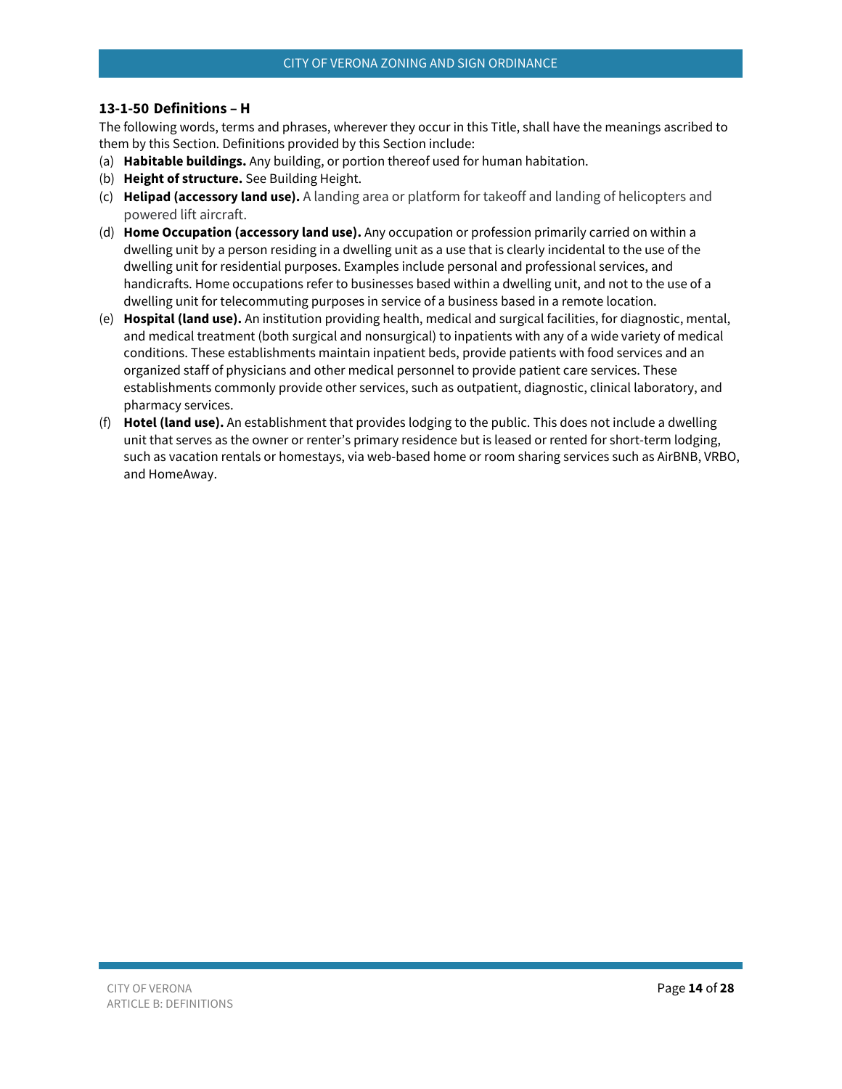### <span id="page-13-0"></span>**13-1-50 Definitions – H**

- (a) **Habitable buildings.** Any building, or portion thereof used for human habitation.
- (b) **Height of structure.** See Building Height.
- (c) **Helipad (accessory land use).** A landing area or platform for takeoff and landing of helicopters and powered lift aircraft.
- (d) **Home Occupation (accessory land use).** Any occupation or profession primarily carried on within a dwelling unit by a person residing in a dwelling unit as a use that is clearly incidental to the use of the dwelling unit for residential purposes. Examples include personal and professional services, and handicrafts. Home occupations refer to businesses based within a dwelling unit, and not to the use of a dwelling unit for telecommuting purposes in service of a business based in a remote location.
- (e) **Hospital (land use).** An institution providing health, medical and surgical facilities, for diagnostic, mental, and medical treatment (both surgical and nonsurgical) to inpatients with any of a wide variety of medical conditions. These establishments maintain inpatient beds, provide patients with food services and an organized staff of physicians and other medical personnel to provide patient care services. These establishments commonly provide other services, such as outpatient, diagnostic, clinical laboratory, and pharmacy services.
- (f) **Hotel (land use).** An establishment that provides lodging to the public. This does not include a dwelling unit that serves as the owner or renter's primary residence but is leased or rented for short-term lodging, such as vacation rentals or homestays, via web-based home or room sharing services such as AirBNB, VRBO, and HomeAway.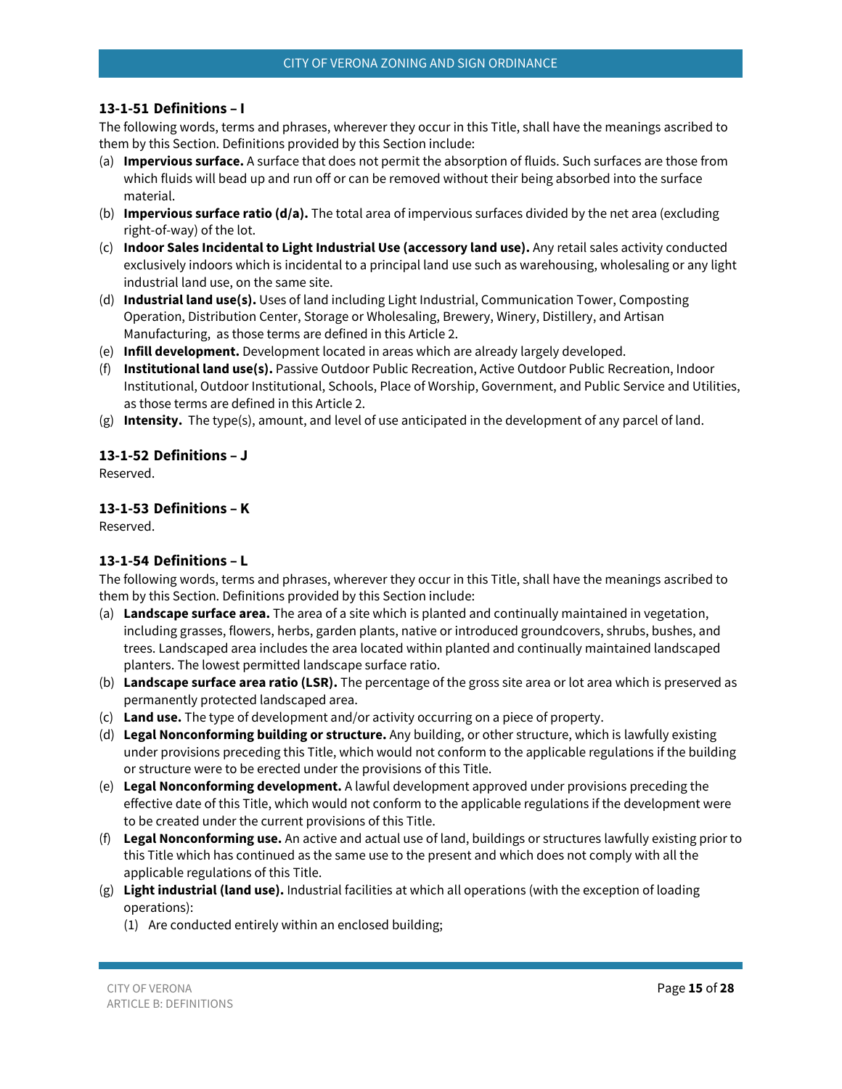### <span id="page-14-0"></span>**13-1-51 Definitions – I**

The following words, terms and phrases, wherever they occur in this Title, shall have the meanings ascribed to them by this Section. Definitions provided by this Section include:

- (a) **Impervious surface.** A surface that does not permit the absorption of fluids. Such surfaces are those from which fluids will bead up and run off or can be removed without their being absorbed into the surface material.
- (b) **Impervious surface ratio (d/a).** The total area of impervious surfaces divided by the net area (excluding right-of-way) of the lot.
- (c) **Indoor Sales Incidental to Light Industrial Use (accessory land use).** Any retail sales activity conducted exclusively indoors which is incidental to a principal land use such as warehousing, wholesaling or any light industrial land use, on the same site.
- (d) **Industrial land use(s).** Uses of land including Light Industrial, Communication Tower, Composting Operation, Distribution Center, Storage or Wholesaling, Brewery, Winery, Distillery, and Artisan Manufacturing, as those terms are defined in this Article 2.
- (e) **Infill development.** Development located in areas which are already largely developed.
- (f) **Institutional land use(s).** Passive Outdoor Public Recreation, Active Outdoor Public Recreation, Indoor Institutional, Outdoor Institutional, Schools, Place of Worship, Government, and Public Service and Utilities, as those terms are defined in this Article 2.
- <span id="page-14-1"></span>(g) **Intensity.** The type(s), amount, and level of use anticipated in the development of any parcel of land.

# **13-1-52 Definitions – J**

<span id="page-14-2"></span>Reserved.

### **13-1-53 Definitions – K**

<span id="page-14-3"></span>Reserved.

# **13-1-54 Definitions – L**

- (a) **Landscape surface area.** The area of a site which is planted and continually maintained in vegetation, including grasses, flowers, herbs, garden plants, native or introduced groundcovers, shrubs, bushes, and trees. Landscaped area includes the area located within planted and continually maintained landscaped planters. The lowest permitted landscape surface ratio.
- (b) **Landscape surface area ratio (LSR).** The percentage of the gross site area or lot area which is preserved as permanently protected landscaped area.
- (c) **Land use.** The type of development and/or activity occurring on a piece of property.
- (d) **Legal Nonconforming building or structure.** Any building, or other structure, which is lawfully existing under provisions preceding this Title, which would not conform to the applicable regulations if the building or structure were to be erected under the provisions of this Title.
- (e) **Legal Nonconforming development.** A lawful development approved under provisions preceding the effective date of this Title, which would not conform to the applicable regulations if the development were to be created under the current provisions of this Title.
- (f) **Legal Nonconforming use.** An active and actual use of land, buildings or structures lawfully existing prior to this Title which has continued as the same use to the present and which does not comply with all the applicable regulations of this Title.
- (g) **Light industrial (land use).** Industrial facilities at which all operations (with the exception of loading operations):
	- (1) Are conducted entirely within an enclosed building;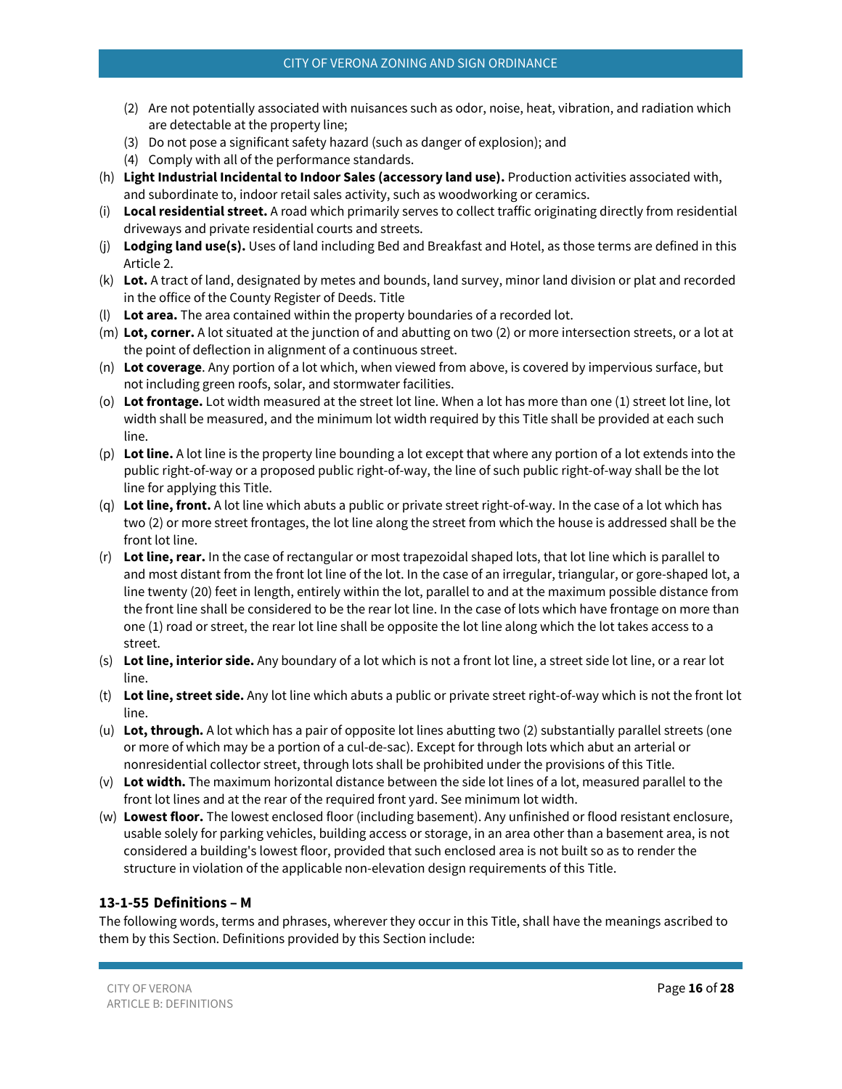- (2) Are not potentially associated with nuisances such as odor, noise, heat, vibration, and radiation which are detectable at the property line;
- (3) Do not pose a significant safety hazard (such as danger of explosion); and
- (4) Comply with all of the performance standards.
- (h) **Light Industrial Incidental to Indoor Sales (accessory land use).** Production activities associated with, and subordinate to, indoor retail sales activity, such as woodworking or ceramics.
- (i) **Local residential street.** A road which primarily serves to collect traffic originating directly from residential driveways and private residential courts and streets.
- (j) **Lodging land use(s).** Uses of land including Bed and Breakfast and Hotel, as those terms are defined in this Article 2.
- (k) **Lot.** A tract of land, designated by metes and bounds, land survey, minor land division or plat and recorded in the office of the County Register of Deeds. Title
- (l) **Lot area.** The area contained within the property boundaries of a recorded lot.
- (m) **Lot, corner.** A lot situated at the junction of and abutting on two (2) or more intersection streets, or a lot at the point of deflection in alignment of a continuous street.
- (n) **Lot coverage**. Any portion of a lot which, when viewed from above, is covered by impervious surface, but not including green roofs, solar, and stormwater facilities.
- (o) **Lot frontage.** Lot width measured at the street lot line. When a lot has more than one (1) street lot line, lot width shall be measured, and the minimum lot width required by this Title shall be provided at each such line.
- (p) **Lot line.** A lot line is the property line bounding a lot except that where any portion of a lot extends into the public right-of-way or a proposed public right-of-way, the line of such public right-of-way shall be the lot line for applying this Title.
- (q) **Lot line, front.** A lot line which abuts a public or private street right-of-way. In the case of a lot which has two (2) or more street frontages, the lot line along the street from which the house is addressed shall be the front lot line.
- (r) **Lot line, rear.** In the case of rectangular or most trapezoidal shaped lots, that lot line which is parallel to and most distant from the front lot line of the lot. In the case of an irregular, triangular, or gore-shaped lot, a line twenty (20) feet in length, entirely within the lot, parallel to and at the maximum possible distance from the front line shall be considered to be the rear lot line. In the case of lots which have frontage on more than one (1) road or street, the rear lot line shall be opposite the lot line along which the lot takes access to a street.
- (s) **Lot line, interior side.** Any boundary of a lot which is not a front lot line, a street side lot line, or a rear lot line.
- (t) **Lot line, street side.** Any lot line which abuts a public or private street right-of-way which is not the front lot line.
- (u) **Lot, through.** A lot which has a pair of opposite lot lines abutting two (2) substantially parallel streets (one or more of which may be a portion of a cul-de-sac). Except for through lots which abut an arterial or nonresidential collector street, through lots shall be prohibited under the provisions of this Title.
- (v) **Lot width.** The maximum horizontal distance between the side lot lines of a lot, measured parallel to the front lot lines and at the rear of the required front yard. See minimum lot width.
- (w) **Lowest floor.** The lowest enclosed floor (including basement). Any unfinished or flood resistant enclosure, usable solely for parking vehicles, building access or storage, in an area other than a basement area, is not considered a building's lowest floor, provided that such enclosed area is not built so as to render the structure in violation of the applicable non-elevation design requirements of this Title.

# <span id="page-15-0"></span>**13-1-55 Definitions – M**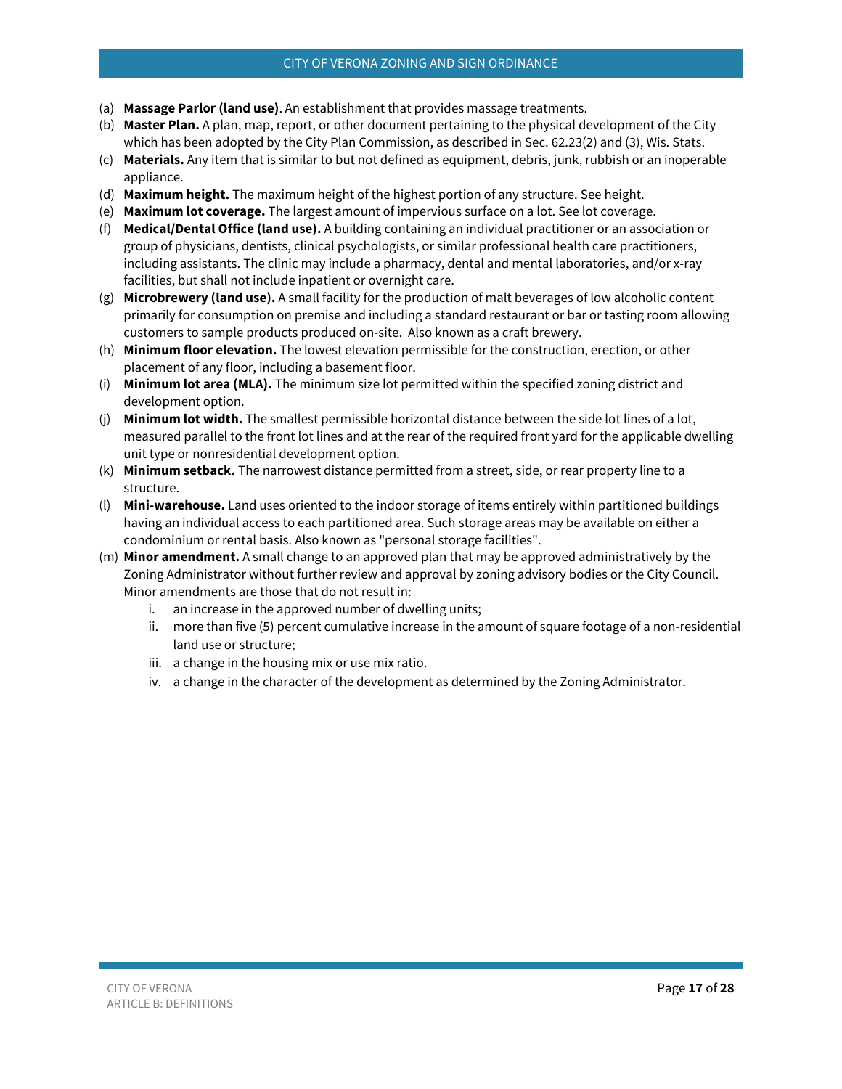#### CITY OF VERONA ZONING AND SIGN ORDINANCE

- (a) **Massage Parlor (land use)**. An establishment that provides massage treatments.
- (b) **Master Plan.** A plan, map, report, or other document pertaining to the physical development of the City which has been adopted by the City Plan Commission, as described in Sec. 62.23(2) and (3), Wis. Stats.
- (c) **Materials.** Any item that is similar to but not defined as equipment, debris, junk, rubbish or an inoperable appliance.
- (d) **Maximum height.** The maximum height of the highest portion of any structure. See height.
- (e) **Maximum lot coverage.** The largest amount of impervious surface on a lot. See lot coverage.
- (f) **Medical/Dental Office (land use).** A building containing an individual practitioner or an association or group of physicians, dentists, clinical psychologists, or similar professional health care practitioners, including assistants. The clinic may include a pharmacy, dental and mental laboratories, and/or x-ray facilities, but shall not include inpatient or overnight care.
- (g) **Microbrewery (land use).** A small facility for the production of malt beverages of low alcoholic content primarily for consumption on premise and including a standard restaurant or bar or tasting room allowing customers to sample products produced on-site. Also known as a craft brewery.
- (h) **Minimum floor elevation.** The lowest elevation permissible for the construction, erection, or other placement of any floor, including a basement floor.
- (i) **Minimum lot area (MLA).** The minimum size lot permitted within the specified zoning district and development option.
- (j) **Minimum lot width.** The smallest permissible horizontal distance between the side lot lines of a lot, measured parallel to the front lot lines and at the rear of the required front yard for the applicable dwelling unit type or nonresidential development option.
- (k) **Minimum setback.** The narrowest distance permitted from a street, side, or rear property line to a structure.
- (l) **Mini-warehouse.** Land uses oriented to the indoor storage of items entirely within partitioned buildings having an individual access to each partitioned area. Such storage areas may be available on either a condominium or rental basis. Also known as "personal storage facilities".
- (m) **Minor amendment.** A small change to an approved plan that may be approved administratively by the Zoning Administrator without further review and approval by zoning advisory bodies or the City Council. Minor amendments are those that do not result in:
	- i. an increase in the approved number of dwelling units;
	- ii. more than five (5) percent cumulative increase in the amount of square footage of a non-residential land use or structure;
	- iii. a change in the housing mix or use mix ratio.
	- iv. a change in the character of the development as determined by the Zoning Administrator.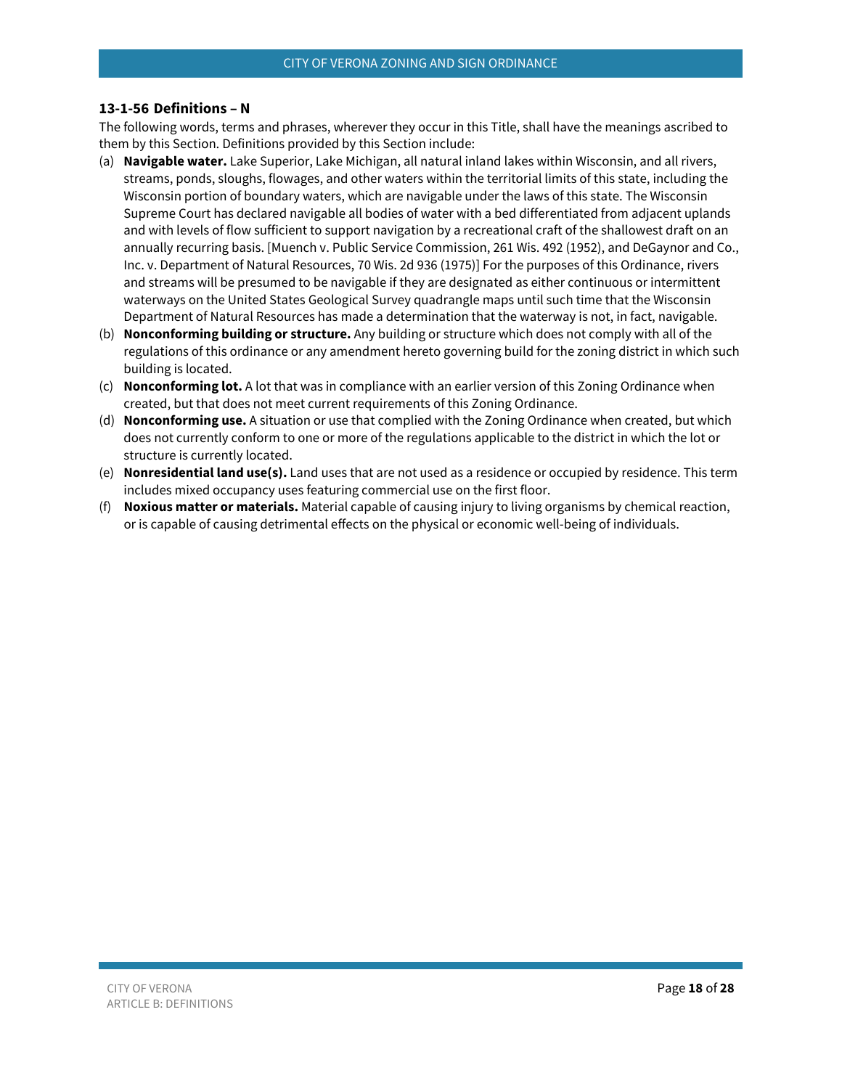#### <span id="page-17-0"></span>**13-1-56 Definitions – N**

- (a) **Navigable water.** Lake Superior, Lake Michigan, all natural inland lakes within Wisconsin, and all rivers, streams, ponds, sloughs, flowages, and other waters within the territorial limits of this state, including the Wisconsin portion of boundary waters, which are navigable under the laws of this state. The Wisconsin Supreme Court has declared navigable all bodies of water with a bed differentiated from adjacent uplands and with levels of flow sufficient to support navigation by a recreational craft of the shallowest draft on an annually recurring basis. [Muench v. Public Service Commission, 261 Wis. 492 (1952), and DeGaynor and Co., Inc. v. Department of Natural Resources, 70 Wis. 2d 936 (1975)] For the purposes of this Ordinance, rivers and streams will be presumed to be navigable if they are designated as either continuous or intermittent waterways on the United States Geological Survey quadrangle maps until such time that the Wisconsin Department of Natural Resources has made a determination that the waterway is not, in fact, navigable.
- (b) **Nonconforming building or structure.** Any building or structure which does not comply with all of the regulations of this ordinance or any amendment hereto governing build for the zoning district in which such building is located.
- (c) **Nonconforming lot.** A lot that was in compliance with an earlier version of this Zoning Ordinance when created, but that does not meet current requirements of this Zoning Ordinance.
- (d) **Nonconforming use.** A situation or use that complied with the Zoning Ordinance when created, but which does not currently conform to one or more of the regulations applicable to the district in which the lot or structure is currently located.
- (e) **Nonresidential land use(s).** Land uses that are not used as a residence or occupied by residence. This term includes mixed occupancy uses featuring commercial use on the first floor.
- (f) **Noxious matter or materials.** Material capable of causing injury to living organisms by chemical reaction, or is capable of causing detrimental effects on the physical or economic well-being of individuals.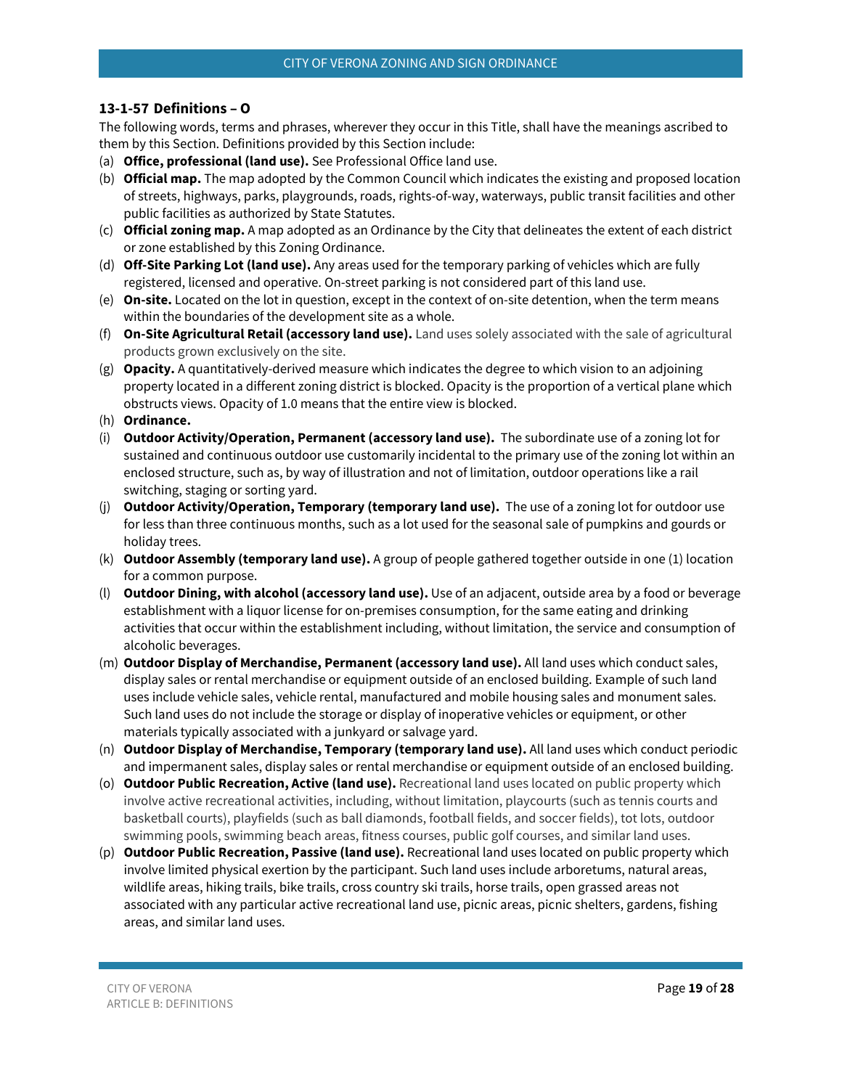### <span id="page-18-0"></span>**13-1-57 Definitions – O**

- (a) **Office, professional (land use).** See Professional Office land use.
- (b) **Official map.** The map adopted by the Common Council which indicates the existing and proposed location of streets, highways, parks, playgrounds, roads, rights-of-way, waterways, public transit facilities and other public facilities as authorized by State Statutes.
- (c) **Official zoning map.** A map adopted as an Ordinance by the City that delineates the extent of each district or zone established by this Zoning Ordinance.
- (d) **Off-Site Parking Lot (land use).** Any areas used for the temporary parking of vehicles which are fully registered, licensed and operative. On-street parking is not considered part of this land use.
- (e) **On-site.** Located on the lot in question, except in the context of on-site detention, when the term means within the boundaries of the development site as a whole.
- (f) **On-Site Agricultural Retail (accessory land use).** Land uses solely associated with the sale of agricultural products grown exclusively on the site.
- (g) **Opacity.** A quantitatively-derived measure which indicates the degree to which vision to an adjoining property located in a different zoning district is blocked. Opacity is the proportion of a vertical plane which obstructs views. Opacity of 1.0 means that the entire view is blocked.
- (h) **Ordinance.**
- (i) **Outdoor Activity/Operation, Permanent (accessory land use).** The subordinate use of a zoning lot for sustained and continuous outdoor use customarily incidental to the primary use of the zoning lot within an enclosed structure, such as, by way of illustration and not of limitation, outdoor operations like a rail switching, staging or sorting yard.
- (j) **Outdoor Activity/Operation, Temporary (temporary land use).** The use of a zoning lot for outdoor use for less than three continuous months, such as a lot used for the seasonal sale of pumpkins and gourds or holiday trees.
- (k) **Outdoor Assembly (temporary land use).** A group of people gathered together outside in one (1) location for a common purpose.
- (l) **Outdoor Dining, with alcohol (accessory land use).** Use of an adjacent, outside area by a food or beverage establishment with a liquor license for on-premises consumption, for the same eating and drinking activities that occur within the establishment including, without limitation, the service and consumption of alcoholic beverages.
- (m) **Outdoor Display of Merchandise, Permanent (accessory land use).** All land uses which conduct sales, display sales or rental merchandise or equipment outside of an enclosed building. Example of such land uses include vehicle sales, vehicle rental, manufactured and mobile housing sales and monument sales. Such land uses do not include the storage or display of inoperative vehicles or equipment, or other materials typically associated with a junkyard or salvage yard.
- (n) **Outdoor Display of Merchandise, Temporary (temporary land use).** All land uses which conduct periodic and impermanent sales, display sales or rental merchandise or equipment outside of an enclosed building.
- (o) **Outdoor Public Recreation, Active (land use).** Recreational land uses located on public property which involve active recreational activities, including, without limitation, playcourts (such as tennis courts and basketball courts), playfields (such as ball diamonds, football fields, and soccer fields), tot lots, outdoor swimming pools, swimming beach areas, fitness courses, public golf courses, and similar land uses.
- (p) **Outdoor Public Recreation, Passive (land use).** Recreational land uses located on public property which involve limited physical exertion by the participant. Such land uses include arboretums, natural areas, wildlife areas, hiking trails, bike trails, cross country ski trails, horse trails, open grassed areas not associated with any particular active recreational land use, picnic areas, picnic shelters, gardens, fishing areas, and similar land uses.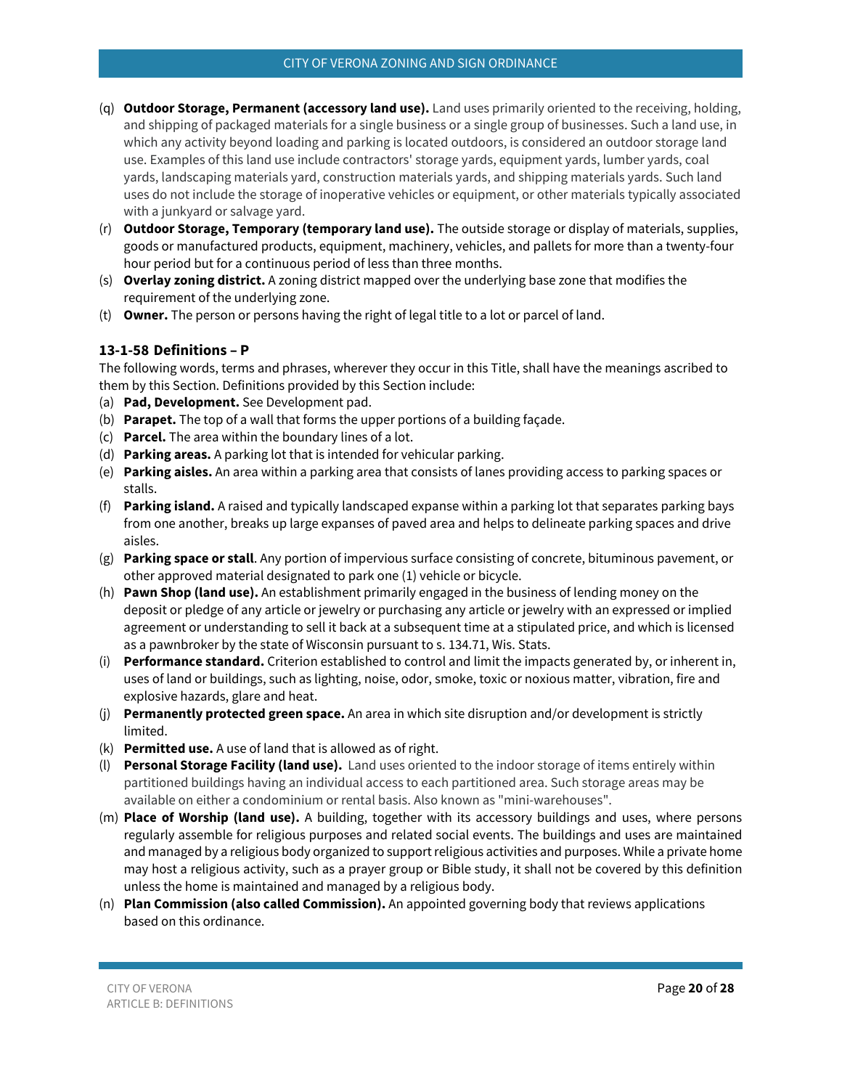- (q) **Outdoor Storage, Permanent (accessory land use).** Land uses primarily oriented to the receiving, holding, and shipping of packaged materials for a single business or a single group of businesses. Such a land use, in which any activity beyond loading and parking is located outdoors, is considered an outdoor storage land use. Examples of this land use include contractors' storage yards, equipment yards, lumber yards, coal yards, landscaping materials yard, construction materials yards, and shipping materials yards. Such land uses do not include the storage of inoperative vehicles or equipment, or other materials typically associated with a junkyard or salvage yard.
- (r) **Outdoor Storage, Temporary (temporary land use).** The outside storage or display of materials, supplies, goods or manufactured products, equipment, machinery, vehicles, and pallets for more than a twenty-four hour period but for a continuous period of less than three months.
- (s) **Overlay zoning district.** A zoning district mapped over the underlying base zone that modifies the requirement of the underlying zone.
- <span id="page-19-0"></span>(t) **Owner.** The person or persons having the right of legal title to a lot or parcel of land.

# **13-1-58 Definitions – P**

- (a) **Pad, Development.** See Development pad.
- (b) **Parapet.** The top of a wall that forms the upper portions of a building façade.
- (c) **Parcel.** The area within the boundary lines of a lot.
- (d) **Parking areas.** A parking lot that is intended for vehicular parking.
- (e) **Parking aisles.** An area within a parking area that consists of lanes providing access to parking spaces or stalls.
- (f) **Parking island.** A raised and typically landscaped expanse within a parking lot that separates parking bays from one another, breaks up large expanses of paved area and helps to delineate parking spaces and drive aisles.
- (g) **Parking space or stall**. Any portion of impervious surface consisting of concrete, bituminous pavement, or other approved material designated to park one (1) vehicle or bicycle.
- (h) **Pawn Shop (land use).** An establishment primarily engaged in the business of lending money on the deposit or pledge of any article or jewelry or purchasing any article or jewelry with an expressed or implied agreement or understanding to sell it back at a subsequent time at a stipulated price, and which is licensed as a pawnbroker by the state of Wisconsin pursuant to s. 134.71, Wis. Stats.
- (i) **Performance standard.** Criterion established to control and limit the impacts generated by, or inherent in, uses of land or buildings, such as lighting, noise, odor, smoke, toxic or noxious matter, vibration, fire and explosive hazards, glare and heat.
- (j) **Permanently protected green space.** An area in which site disruption and/or development is strictly limited.
- (k) **Permitted use.** A use of land that is allowed as of right.
- (l) **Personal Storage Facility (land use).** Land uses oriented to the indoor storage of items entirely within partitioned buildings having an individual access to each partitioned area. Such storage areas may be available on either a condominium or rental basis. Also known as "mini-warehouses".
- (m) **Place of Worship (land use).** A building, together with its accessory buildings and uses, where persons regularly assemble for religious purposes and related social events. The buildings and uses are maintained and managed by a religious body organized to support religious activities and purposes. While a private home may host a religious activity, such as a prayer group or Bible study, it shall not be covered by this definition unless the home is maintained and managed by a religious body.
- (n) **Plan Commission (also called Commission).** An appointed governing body that reviews applications based on this ordinance.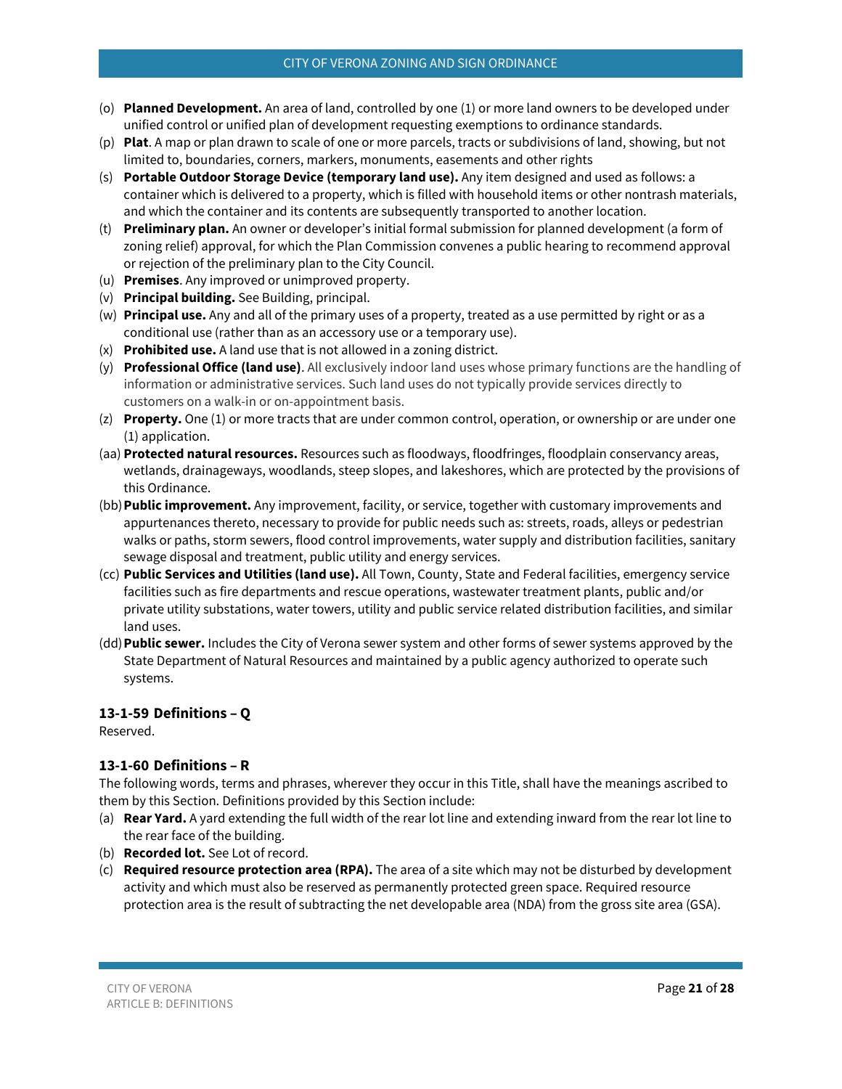#### CITY OF VERONA ZONING AND SIGN ORDINANCE

- (o) **Planned Development.** An area of land, controlled by one (1) or more land owners to be developed under unified control or unified plan of development requesting exemptions to ordinance standards.
- (p) **Plat**. A map or plan drawn to scale of one or more parcels, tracts or subdivisions of land, showing, but not limited to, boundaries, corners, markers, monuments, easements and other rights
- (s) **Portable Outdoor Storage Device (temporary land use).** Any item designed and used as follows: a container which is delivered to a property, which is filled with household items or other nontrash materials, and which the container and its contents are subsequently transported to another location.
- (t) **Preliminary plan.** An owner or developer's initial formal submission for planned development (a form of zoning relief) approval, for which the Plan Commission convenes a public hearing to recommend approval or rejection of the preliminary plan to the City Council.
- (u) **Premises**. Any improved or unimproved property.
- (v) **Principal building.** See Building, principal.
- (w) **Principal use.** Any and all of the primary uses of a property, treated as a use permitted by right or as a conditional use (rather than as an accessory use or a temporary use).
- (x) **Prohibited use.** A land use that is not allowed in a zoning district.
- (y) **Professional Office (land use)**. All exclusively indoor land uses whose primary functions are the handling of information or administrative services. Such land uses do not typically provide services directly to customers on a walk-in or on-appointment basis.
- (z) **Property.** One (1) or more tracts that are under common control, operation, or ownership or are under one (1) application.
- (aa) **Protected natural resources.** Resources such as floodways, floodfringes, floodplain conservancy areas, wetlands, drainageways, woodlands, steep slopes, and lakeshores, which are protected by the provisions of this Ordinance.
- (bb)**Public improvement.** Any improvement, facility, or service, together with customary improvements and appurtenances thereto, necessary to provide for public needs such as: streets, roads, alleys or pedestrian walks or paths, storm sewers, flood control improvements, water supply and distribution facilities, sanitary sewage disposal and treatment, public utility and energy services.
- (cc) **Public Services and Utilities (land use).** All Town, County, State and Federal facilities, emergency service facilities such as fire departments and rescue operations, wastewater treatment plants, public and/or private utility substations, water towers, utility and public service related distribution facilities, and similar land uses.
- (dd)**Public sewer.** Includes the City of Verona sewer system and other forms of sewer systems approved by the State Department of Natural Resources and maintained by a public agency authorized to operate such systems.

# <span id="page-20-0"></span>**13-1-59 Definitions – Q**

<span id="page-20-1"></span>Reserved.

# **13-1-60 Definitions – R**

- (a) **Rear Yard.** A yard extending the full width of the rear lot line and extending inward from the rear lot line to the rear face of the building.
- (b) **Recorded lot.** See Lot of record.
- (c) **Required resource protection area (RPA).** The area of a site which may not be disturbed by development activity and which must also be reserved as permanently protected green space. Required resource protection area is the result of subtracting the net developable area (NDA) from the gross site area (GSA).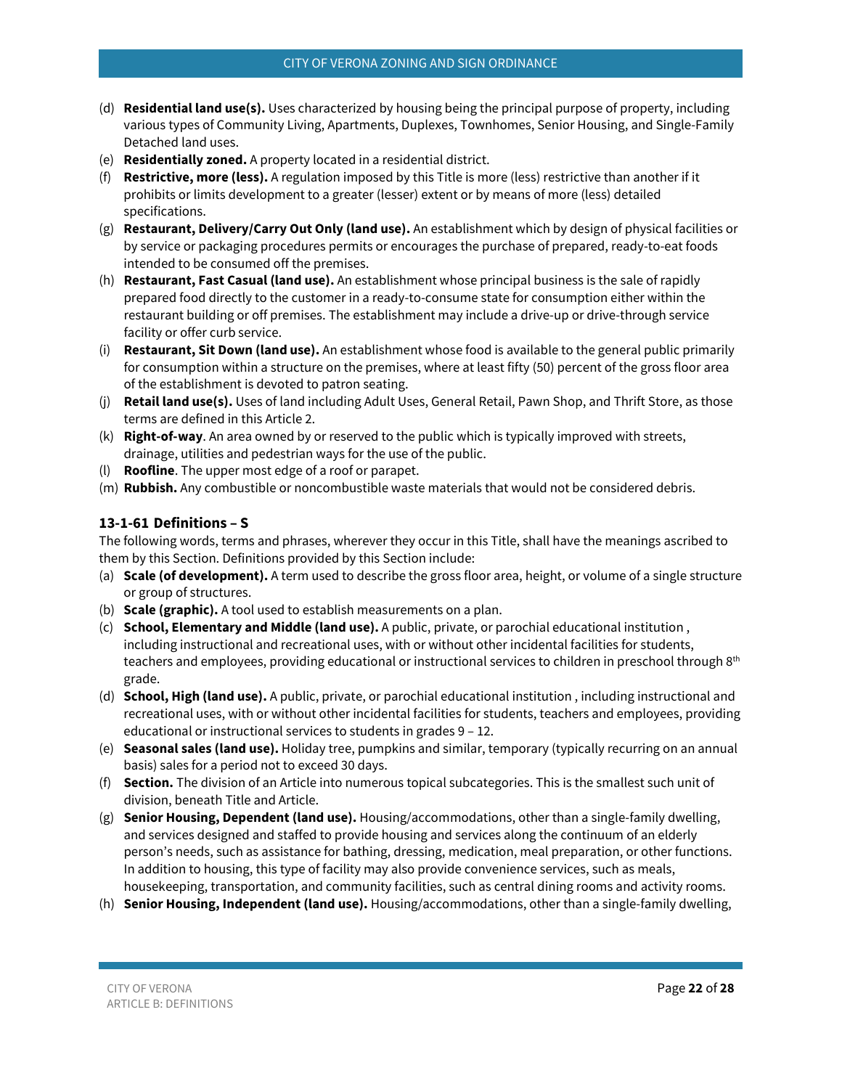- (d) **Residential land use(s).** Uses characterized by housing being the principal purpose of property, including various types of Community Living, Apartments, Duplexes, Townhomes, Senior Housing, and Single-Family Detached land uses.
- (e) **Residentially zoned.** A property located in a residential district.
- (f) **Restrictive, more (less).** A regulation imposed by this Title is more (less) restrictive than another if it prohibits or limits development to a greater (lesser) extent or by means of more (less) detailed specifications.
- (g) **Restaurant, Delivery/Carry Out Only (land use).** An establishment which by design of physical facilities or by service or packaging procedures permits or encourages the purchase of prepared, ready-to-eat foods intended to be consumed off the premises.
- (h) **Restaurant, Fast Casual (land use).** An establishment whose principal business is the sale of rapidly prepared food directly to the customer in a ready-to-consume state for consumption either within the restaurant building or off premises. The establishment may include a drive-up or drive-through service facility or offer curb service.
- (i) **Restaurant, Sit Down (land use).** An establishment whose food is available to the general public primarily for consumption within a structure on the premises, where at least fifty (50) percent of the gross floor area of the establishment is devoted to patron seating.
- (j) **Retail land use(s).** Uses of land including Adult Uses, General Retail, Pawn Shop, and Thrift Store, as those terms are defined in this Article 2.
- (k) **Right-of-way**. An area owned by or reserved to the public which is typically improved with streets, drainage, utilities and pedestrian ways for the use of the public.
- (l) **Roofline**. The upper most edge of a roof or parapet.
- <span id="page-21-0"></span>(m) **Rubbish.** Any combustible or noncombustible waste materials that would not be considered debris.

# **13-1-61 Definitions – S**

- (a) **Scale (of development).** A term used to describe the gross floor area, height, or volume of a single structure or group of structures.
- (b) **Scale (graphic).** A tool used to establish measurements on a plan.
- (c) **School, Elementary and Middle (land use).** A public, private, or parochial educational institution , including instructional and recreational uses, with or without other incidental facilities for students, teachers and employees, providing educational or instructional services to children in preschool through 8<sup>th</sup> grade.
- (d) **School, High (land use).** A public, private, or parochial educational institution , including instructional and recreational uses, with or without other incidental facilities for students, teachers and employees, providing educational or instructional services to students in grades 9 – 12.
- (e) **Seasonal sales (land use).** Holiday tree, pumpkins and similar, temporary (typically recurring on an annual basis) sales for a period not to exceed 30 days.
- (f) **Section.** The division of an Article into numerous topical subcategories. This is the smallest such unit of division, beneath Title and Article.
- (g) **Senior Housing, Dependent (land use).** Housing/accommodations, other than a single-family dwelling, and services designed and staffed to provide housing and services along the continuum of an elderly person's needs, such as assistance for bathing, dressing, medication, meal preparation, or other functions. In addition to housing, this type of facility may also provide convenience services, such as meals, housekeeping, transportation, and community facilities, such as central dining rooms and activity rooms.
- (h) **Senior Housing, Independent (land use).** Housing/accommodations, other than a single-family dwelling,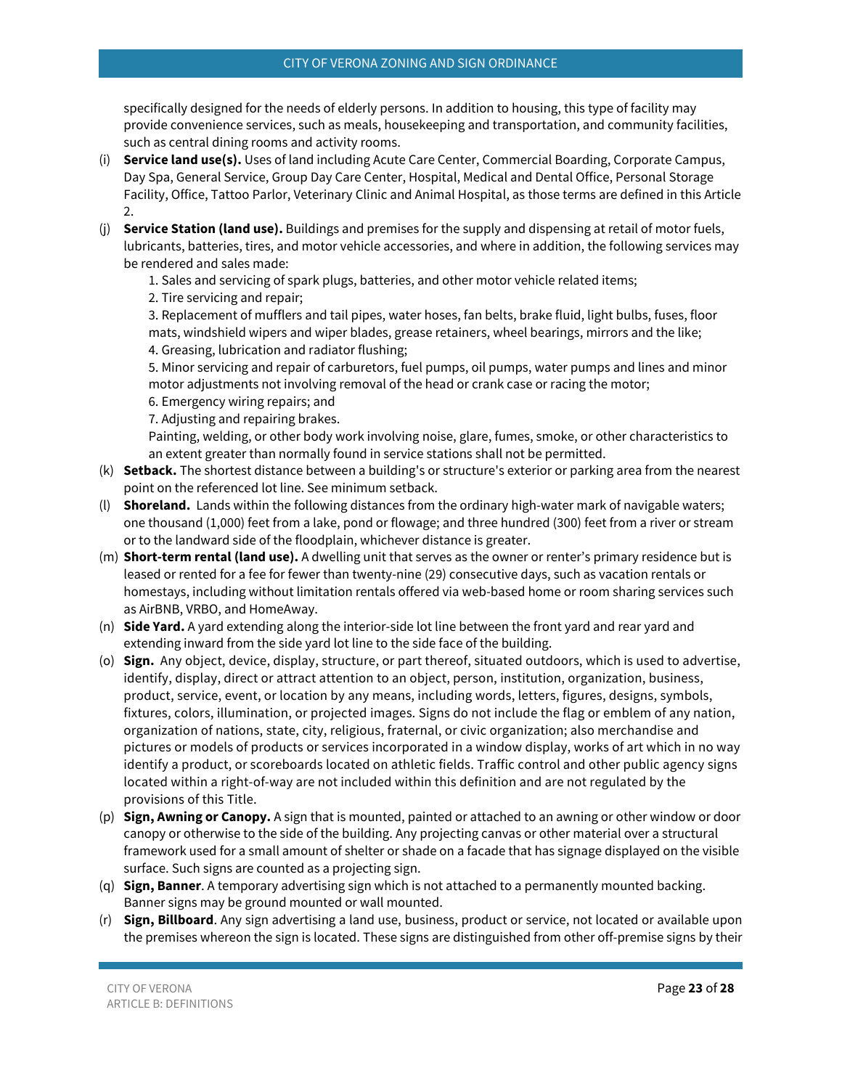specifically designed for the needs of elderly persons. In addition to housing, this type of facility may provide convenience services, such as meals, housekeeping and transportation, and community facilities, such as central dining rooms and activity rooms.

- (i) **Service land use(s).** Uses of land including Acute Care Center, Commercial Boarding, Corporate Campus, Day Spa, General Service, Group Day Care Center, Hospital, Medical and Dental Office, Personal Storage Facility, Office, Tattoo Parlor, Veterinary Clinic and Animal Hospital, as those terms are defined in this Article 2.
- (j) **Service Station (land use).** Buildings and premises for the supply and dispensing at retail of motor fuels, lubricants, batteries, tires, and motor vehicle accessories, and where in addition, the following services may be rendered and sales made:
	- 1. Sales and servicing of spark plugs, batteries, and other motor vehicle related items;

2. Tire servicing and repair;

3. Replacement of mufflers and tail pipes, water hoses, fan belts, brake fluid, light bulbs, fuses, floor mats, windshield wipers and wiper blades, grease retainers, wheel bearings, mirrors and the like; 4. Greasing, lubrication and radiator flushing;

5. Minor servicing and repair of carburetors, fuel pumps, oil pumps, water pumps and lines and minor motor adjustments not involving removal of the head or crank case or racing the motor;

6. Emergency wiring repairs; and

7. Adjusting and repairing brakes.

Painting, welding, or other body work involving noise, glare, fumes, smoke, or other characteristics to an extent greater than normally found in service stations shall not be permitted.

- (k) **Setback.** The shortest distance between a building's or structure's exterior or parking area from the nearest point on the referenced lot line. See minimum setback.
- (l) **Shoreland.** Lands within the following distances from the ordinary high-water mark of navigable waters; one thousand (1,000) feet from a lake, pond or flowage; and three hundred (300) feet from a river or stream or to the landward side of the floodplain, whichever distance is greater.
- (m) **Short-term rental (land use).** A dwelling unit that serves as the owner or renter's primary residence but is leased or rented for a fee for fewer than twenty-nine (29) consecutive days, such as vacation rentals or homestays, including without limitation rentals offered via web-based home or room sharing services such as AirBNB, VRBO, and HomeAway.
- (n) **Side Yard.** A yard extending along the interior-side lot line between the front yard and rear yard and extending inward from the side yard lot line to the side face of the building.
- (o) **Sign.** Any object, device, display, structure, or part thereof, situated outdoors, which is used to advertise, identify, display, direct or attract attention to an object, person, institution, organization, business, product, service, event, or location by any means, including words, letters, figures, designs, symbols, fixtures, colors, illumination, or projected images. Signs do not include the flag or emblem of any nation, organization of nations, state, city, religious, fraternal, or civic organization; also merchandise and pictures or models of products or services incorporated in a window display, works of art which in no way identify a product, or scoreboards located on athletic fields. Traffic control and other public agency signs located within a right-of-way are not included within this definition and are not regulated by the provisions of this Title.
- (p) **Sign, Awning or Canopy.** A sign that is mounted, painted or attached to an awning or other window or door canopy or otherwise to the side of the building. Any projecting canvas or other material over a structural framework used for a small amount of shelter or shade on a facade that has signage displayed on the visible surface. Such signs are counted as a projecting sign.
- (q) **Sign, Banner**. A temporary advertising sign which is not attached to a permanently mounted backing. Banner signs may be ground mounted or wall mounted.
- (r) **Sign, Billboard**. Any sign advertising a land use, business, product or service, not located or available upon the premises whereon the sign is located. These signs are distinguished from other off-premise signs by their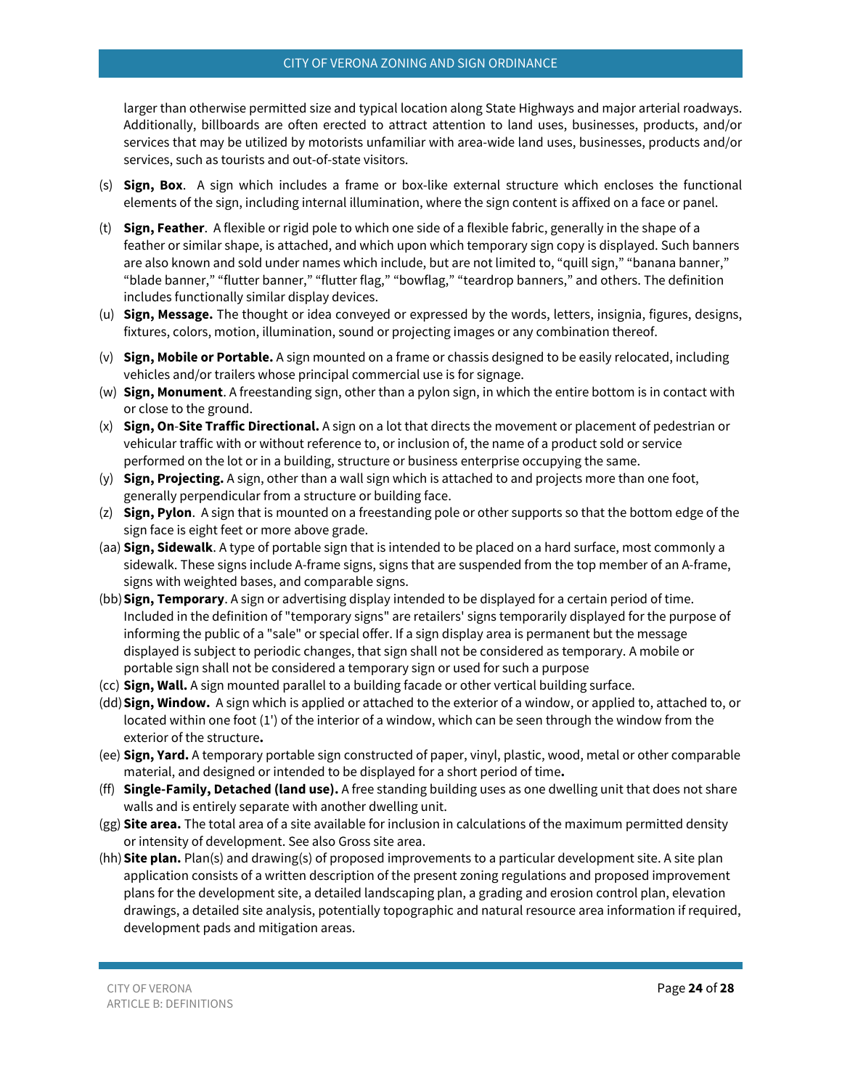larger than otherwise permitted size and typical location along State Highways and major arterial roadways. Additionally, billboards are often erected to attract attention to land uses, businesses, products, and/or services that may be utilized by motorists unfamiliar with area-wide land uses, businesses, products and/or services, such as tourists and out-of-state visitors.

- (s) **Sign, Box**. A sign which includes a frame or box-like external structure which encloses the functional elements of the sign, including internal illumination, where the sign content is affixed on a face or panel.
- (t) **Sign, Feather**. A flexible or rigid pole to which one side of a flexible fabric, generally in the shape of a feather or similar shape, is attached, and which upon which temporary sign copy is displayed. Such banners are also known and sold under names which include, but are not limited to, "quill sign," "banana banner," "blade banner," "flutter banner," "flutter flag," "bowflag," "teardrop banners," and others. The definition includes functionally similar display devices.
- (u) **Sign, Message.** The thought or idea conveyed or expressed by the words, letters, insignia, figures, designs, fixtures, colors, motion, illumination, sound or projecting images or any combination thereof.
- (v) **Sign, Mobile or Portable.** A sign mounted on a frame or chassis designed to be easily relocated, including vehicles and/or trailers whose principal commercial use is for signage.
- (w) **Sign, Monument**. A freestanding sign, other than a pylon sign, in which the entire bottom is in contact with or close to the ground.
- (x) **Sign, On**-**Site Traffic Directional.** A sign on a lot that directs the movement or placement of pedestrian or vehicular traffic with or without reference to, or inclusion of, the name of a product sold or service performed on the lot or in a building, structure or business enterprise occupying the same.
- (y) **Sign, Projecting.** A sign, other than a wall sign which is attached to and projects more than one foot, generally perpendicular from a structure or building face.
- (z) **Sign, Pylon**. A sign that is mounted on a freestanding pole or other supports so that the bottom edge of the sign face is eight feet or more above grade.
- (aa) **Sign, Sidewalk**. A type of portable sign that is intended to be placed on a hard surface, most commonly a sidewalk. These signs include A-frame signs, signs that are suspended from the top member of an A-frame, signs with weighted bases, and comparable signs.
- (bb)**Sign, Temporary**. A sign or advertising display intended to be displayed for a certain period of time. Included in the definition of "temporary signs" are retailers' signs temporarily displayed for the purpose of informing the public of a "sale" or special offer. If a sign display area is permanent but the message displayed is subject to periodic changes, that sign shall not be considered as temporary. A mobile or portable sign shall not be considered a temporary sign or used for such a purpose
- (cc) **Sign, Wall.** A sign mounted parallel to a building facade or other vertical building surface.
- (dd)**Sign, Window.** A sign which is applied or attached to the exterior of a window, or applied to, attached to, or located within one foot (1') of the interior of a window, which can be seen through the window from the exterior of the structure**.**
- (ee) **Sign, Yard.** A temporary portable sign constructed of paper, vinyl, plastic, wood, metal or other comparable material, and designed or intended to be displayed for a short period of time**.**
- (ff) **Single-Family, Detached (land use).** A free standing building uses as one dwelling unit that does not share walls and is entirely separate with another dwelling unit.
- (gg) **Site area.** The total area of a site available for inclusion in calculations of the maximum permitted density or intensity of development. See also Gross site area.
- (hh)**Site plan.** Plan(s) and drawing(s) of proposed improvements to a particular development site. A site plan application consists of a written description of the present zoning regulations and proposed improvement plans for the development site, a detailed landscaping plan, a grading and erosion control plan, elevation drawings, a detailed site analysis, potentially topographic and natural resource area information if required, development pads and mitigation areas.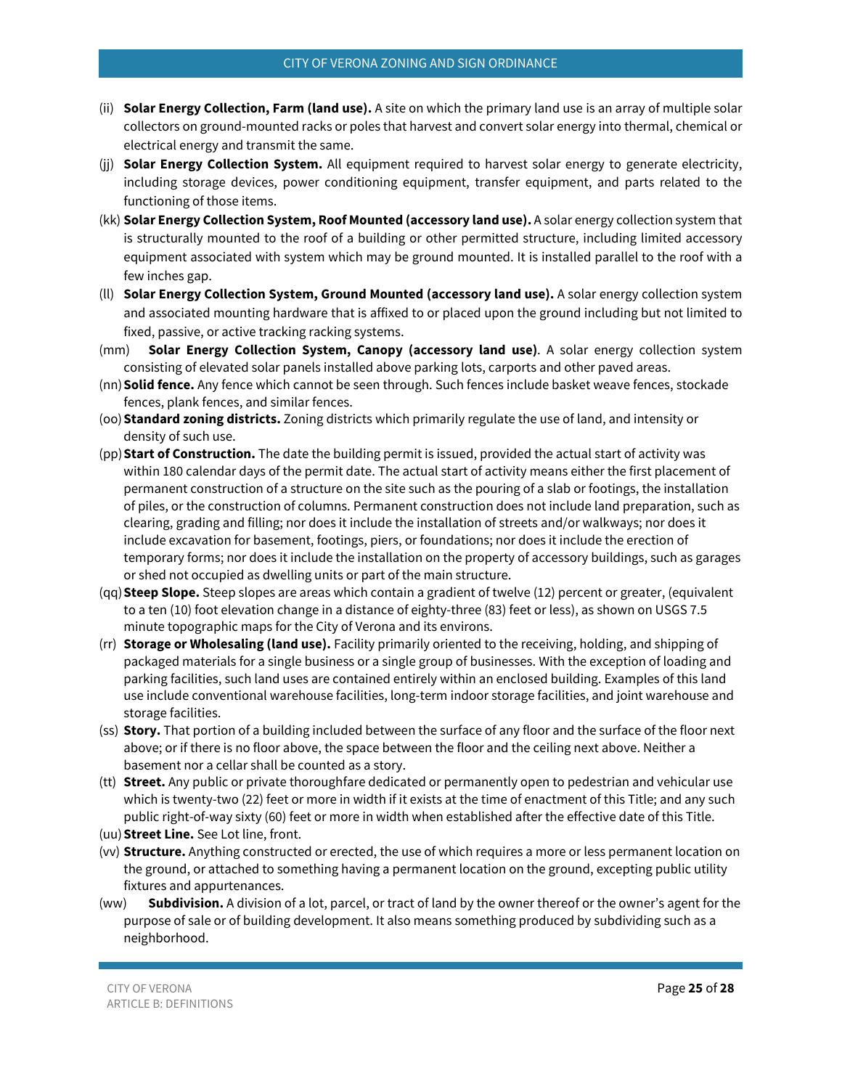- (ii) **Solar Energy Collection, Farm (land use).** A site on which the primary land use is an array of multiple solar collectors on ground-mounted racks or poles that harvest and convert solar energy into thermal, chemical or electrical energy and transmit the same.
- (jj) **Solar Energy Collection System.** All equipment required to harvest solar energy to generate electricity, including storage devices, power conditioning equipment, transfer equipment, and parts related to the functioning of those items.
- (kk) **Solar Energy Collection System, Roof Mounted (accessory land use).** A solar energy collection system that is structurally mounted to the roof of a building or other permitted structure, including limited accessory equipment associated with system which may be ground mounted. It is installed parallel to the roof with a few inches gap.
- (ll) **Solar Energy Collection System, Ground Mounted (accessory land use).** A solar energy collection system and associated mounting hardware that is affixed to or placed upon the ground including but not limited to fixed, passive, or active tracking racking systems.
- (mm) **Solar Energy Collection System, Canopy (accessory land use)**. A solar energy collection system consisting of elevated solar panels installed above parking lots, carports and other paved areas.
- (nn)**Solid fence.** Any fence which cannot be seen through. Such fences include basket weave fences, stockade fences, plank fences, and similar fences.
- (oo)**Standard zoning districts.** Zoning districts which primarily regulate the use of land, and intensity or density of such use.
- (pp)**Start of Construction.** The date the building permit is issued, provided the actual start of activity was within 180 calendar days of the permit date. The actual start of activity means either the first placement of permanent construction of a structure on the site such as the pouring of a slab or footings, the installation of piles, or the construction of columns. Permanent construction does not include land preparation, such as clearing, grading and filling; nor does it include the installation of streets and/or walkways; nor does it include excavation for basement, footings, piers, or foundations; nor does it include the erection of temporary forms; nor does it include the installation on the property of accessory buildings, such as garages or shed not occupied as dwelling units or part of the main structure.
- (qq)**Steep Slope.** Steep slopes are areas which contain a gradient of twelve (12) percent or greater, (equivalent to a ten (10) foot elevation change in a distance of eighty-three (83) feet or less), as shown on USGS 7.5 minute topographic maps for the City of Verona and its environs.
- (rr) **Storage or Wholesaling (land use).** Facility primarily oriented to the receiving, holding, and shipping of packaged materials for a single business or a single group of businesses. With the exception of loading and parking facilities, such land uses are contained entirely within an enclosed building. Examples of this land use include conventional warehouse facilities, long-term indoor storage facilities, and joint warehouse and storage facilities.
- (ss) **Story.** That portion of a building included between the surface of any floor and the surface of the floor next above; or if there is no floor above, the space between the floor and the ceiling next above. Neither a basement nor a cellar shall be counted as a story.
- (tt) **Street.** Any public or private thoroughfare dedicated or permanently open to pedestrian and vehicular use which is twenty-two (22) feet or more in width if it exists at the time of enactment of this Title; and any such public right-of-way sixty (60) feet or more in width when established after the effective date of this Title.
- (uu)**Street Line.** See Lot line, front.
- (vv) **Structure.** Anything constructed or erected, the use of which requires a more or less permanent location on the ground, or attached to something having a permanent location on the ground, excepting public utility fixtures and appurtenances.
- (ww) **Subdivision.** A division of a lot, parcel, or tract of land by the owner thereof or the owner's agent for the purpose of sale or of building development. It also means something produced by subdividing such as a neighborhood.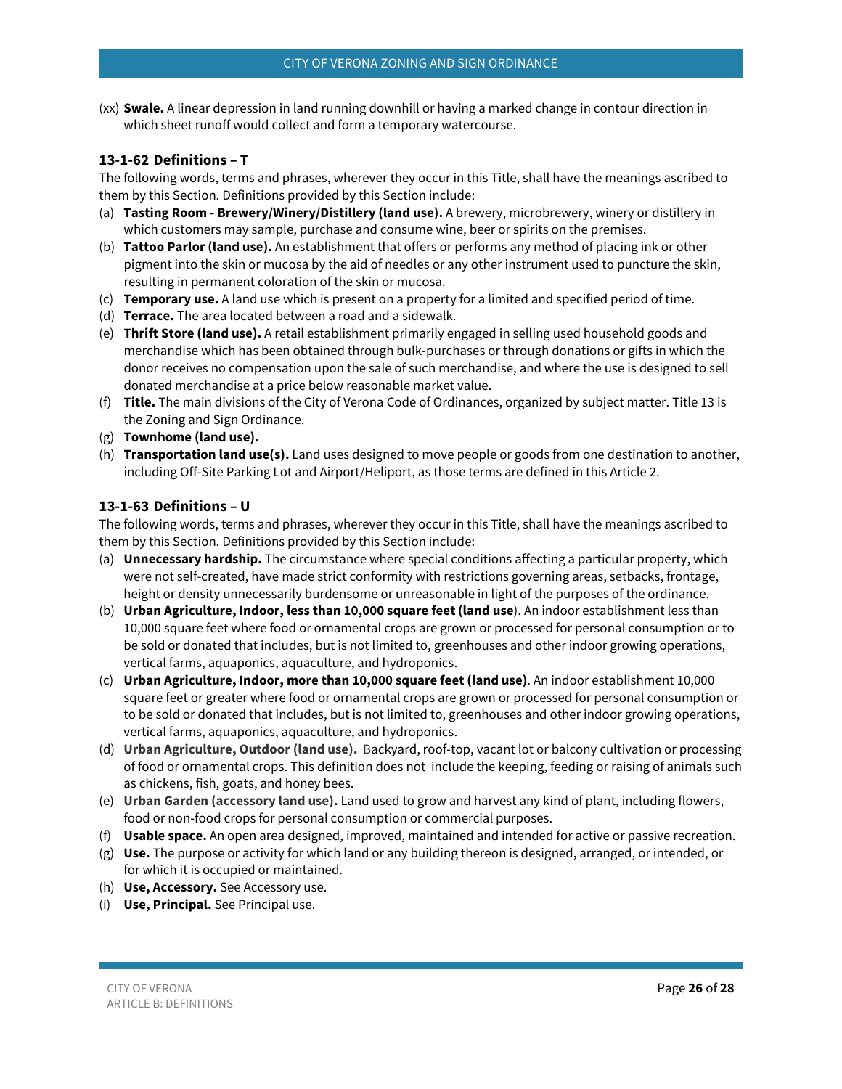(xx) **Swale.** A linear depression in land running downhill or having a marked change in contour direction in which sheet runoff would collect and form a temporary watercourse.

# <span id="page-25-0"></span>**13-1-62 Definitions – T**

The following words, terms and phrases, wherever they occur in this Title, shall have the meanings ascribed to them by this Section. Definitions provided by this Section include:

- (a) **Tasting Room - Brewery/Winery/Distillery (land use).** A brewery, microbrewery, winery or distillery in which customers may sample, purchase and consume wine, beer or spirits on the premises.
- (b) **Tattoo Parlor (land use).** An establishment that offers or performs any method of placing ink or other pigment into the skin or mucosa by the aid of needles or any other instrument used to puncture the skin, resulting in permanent coloration of the skin or mucosa.
- (c) **Temporary use.** A land use which is present on a property for a limited and specified period of time.
- (d) **Terrace.** The area located between a road and a sidewalk.
- (e) **Thrift Store (land use).** A retail establishment primarily engaged in selling used household goods and merchandise which has been obtained through bulk-purchases or through donations or gifts in which the donor receives no compensation upon the sale of such merchandise, and where the use is designed to sell donated merchandise at a price below reasonable market value.
- (f) **Title.** The main divisions of the City of Verona Code of Ordinances, organized by subject matter. Title 13 is the Zoning and Sign Ordinance.
- (g) **Townhome (land use).**
- (h) **Transportation land use(s).** Land uses designed to move people or goods from one destination to another, including Off-Site Parking Lot and Airport/Heliport, as those terms are defined in this Article 2.

# <span id="page-25-1"></span>**13-1-63 Definitions – U**

- (a) **Unnecessary hardship.** The circumstance where special conditions affecting a particular property, which were not self-created, have made strict conformity with restrictions governing areas, setbacks, frontage, height or density unnecessarily burdensome or unreasonable in light of the purposes of the ordinance.
- (b) **Urban Agriculture, Indoor, less than 10,000 square feet (land use**). An indoor establishment less than 10,000 square feet where food or ornamental crops are grown or processed for personal consumption or to be sold or donated that includes, but is not limited to, greenhouses and other indoor growing operations, vertical farms, aquaponics, aquaculture, and hydroponics.
- (c) **Urban Agriculture, Indoor, more than 10,000 square feet (land use)**. An indoor establishment 10,000 square feet or greater where food or ornamental crops are grown or processed for personal consumption or to be sold or donated that includes, but is not limited to, greenhouses and other indoor growing operations, vertical farms, aquaponics, aquaculture, and hydroponics.
- (d) **Urban Agriculture, Outdoor (land use).** Backyard, roof-top, vacant lot or balcony cultivation or processing of food or ornamental crops. This definition does not include the keeping, feeding or raising of animals such as chickens, fish, goats, and honey bees.
- (e) **Urban Garden (accessory land use).** Land used to grow and harvest any kind of plant, including flowers, food or non-food crops for personal consumption or commercial purposes.
- (f) **Usable space.** An open area designed, improved, maintained and intended for active or passive recreation.
- (g) **Use.** The purpose or activity for which land or any building thereon is designed, arranged, or intended, or for which it is occupied or maintained.
- (h) **Use, Accessory.** See Accessory use.
- (i) **Use, Principal.** See Principal use.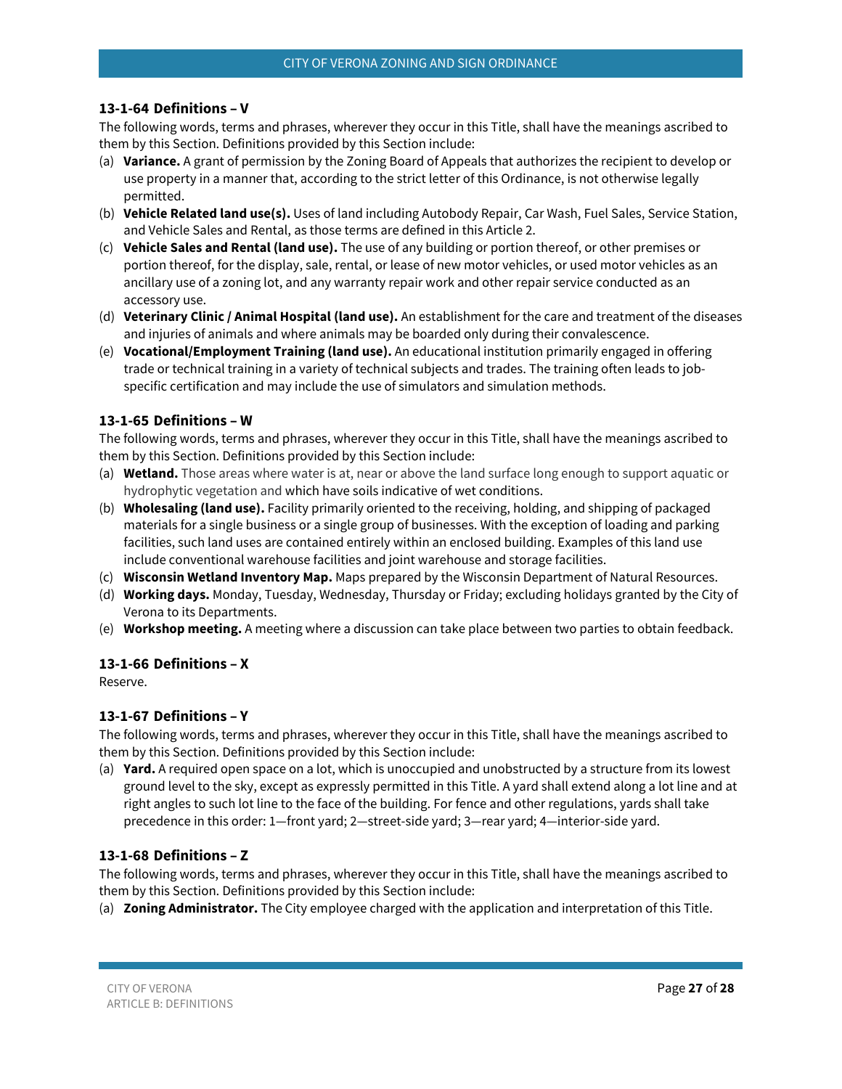### <span id="page-26-0"></span>**13-1-64 Definitions – V**

The following words, terms and phrases, wherever they occur in this Title, shall have the meanings ascribed to them by this Section. Definitions provided by this Section include:

- (a) **Variance.** A grant of permission by the Zoning Board of Appeals that authorizes the recipient to develop or use property in a manner that, according to the strict letter of this Ordinance, is not otherwise legally permitted.
- (b) **Vehicle Related land use(s).** Uses of land including Autobody Repair, Car Wash, Fuel Sales, Service Station, and Vehicle Sales and Rental, as those terms are defined in this Article 2.
- (c) **Vehicle Sales and Rental (land use).** The use of any building or portion thereof, or other premises or portion thereof, for the display, sale, rental, or lease of new motor vehicles, or used motor vehicles as an ancillary use of a zoning lot, and any warranty repair work and other repair service conducted as an accessory use.
- (d) **Veterinary Clinic / Animal Hospital (land use).** An establishment for the care and treatment of the diseases and injuries of animals and where animals may be boarded only during their convalescence.
- (e) **Vocational/Employment Training (land use).** An educational institution primarily engaged in offering trade or technical training in a variety of technical subjects and trades. The training often leads to jobspecific certification and may include the use of simulators and simulation methods.

# <span id="page-26-1"></span>**13-1-65 Definitions – W**

The following words, terms and phrases, wherever they occur in this Title, shall have the meanings ascribed to them by this Section. Definitions provided by this Section include:

- (a) **Wetland.** Those areas where water is at, near or above the land surface long enough to support aquatic or hydrophytic vegetation and which have soils indicative of wet conditions.
- (b) **Wholesaling (land use).** Facility primarily oriented to the receiving, holding, and shipping of packaged materials for a single business or a single group of businesses. With the exception of loading and parking facilities, such land uses are contained entirely within an enclosed building. Examples of this land use include conventional warehouse facilities and joint warehouse and storage facilities.
- (c) **Wisconsin Wetland Inventory Map.** Maps prepared by the Wisconsin Department of Natural Resources.
- (d) **Working days.** Monday, Tuesday, Wednesday, Thursday or Friday; excluding holidays granted by the City of Verona to its Departments.
- <span id="page-26-2"></span>(e) **Workshop meeting.** A meeting where a discussion can take place between two parties to obtain feedback.

### **13-1-66 Definitions – X**

<span id="page-26-3"></span>Reserve.

# **13-1-67 Definitions – Y**

The following words, terms and phrases, wherever they occur in this Title, shall have the meanings ascribed to them by this Section. Definitions provided by this Section include:

(a) **Yard.** A required open space on a lot, which is unoccupied and unobstructed by a structure from its lowest ground level to the sky, except as expressly permitted in this Title. A yard shall extend along a lot line and at right angles to such lot line to the face of the building. For fence and other regulations, yards shall take precedence in this order: 1—front yard; 2—street-side yard; 3—rear yard; 4—interior-side yard.

### <span id="page-26-4"></span>**13-1-68 Definitions – Z**

The following words, terms and phrases, wherever they occur in this Title, shall have the meanings ascribed to them by this Section. Definitions provided by this Section include:

(a) **Zoning Administrator.** The City employee charged with the application and interpretation of this Title.